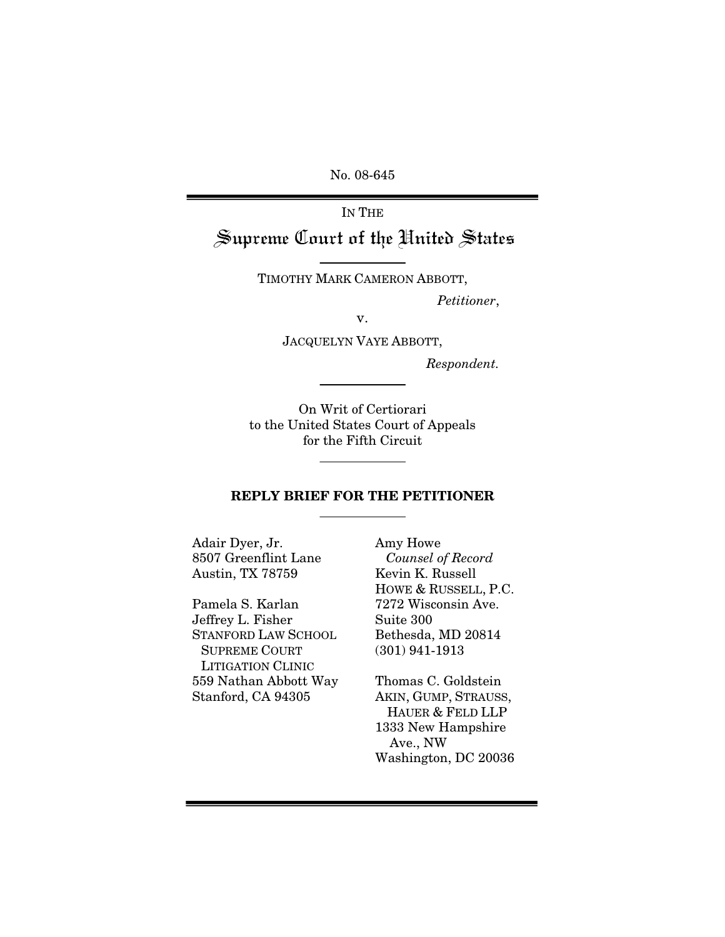No. 08-645

IN THE

Supreme Court of the United States

TIMOTHY MARK CAMERON ABBOTT,

 *Petitioner*,

v.

JACQUELYN VAYE ABBOTT,

*Respondent.* 

On Writ of Certiorari to the United States Court of Appeals for the Fifth Circuit

#### REPLY BRIEF FOR THE PETITIONER

Adair Dyer, Jr. 8507 Greenflint Lane Austin, TX 78759

Pamela S. Karlan Jeffrey L. Fisher STANFORD LAW SCHOOL SUPREME COURT LITIGATION CLINIC 559 Nathan Abbott Way Stanford, CA 94305

Amy Howe *Counsel of Record* Kevin K. Russell HOWE & RUSSELL, P.C. 7272 Wisconsin Ave. Suite 300 Bethesda, MD 20814 (301) 941-1913

Thomas C. Goldstein AKIN, GUMP, STRAUSS, HAUER & FELD LLP 1333 New Hampshire Ave., NW Washington, DC 20036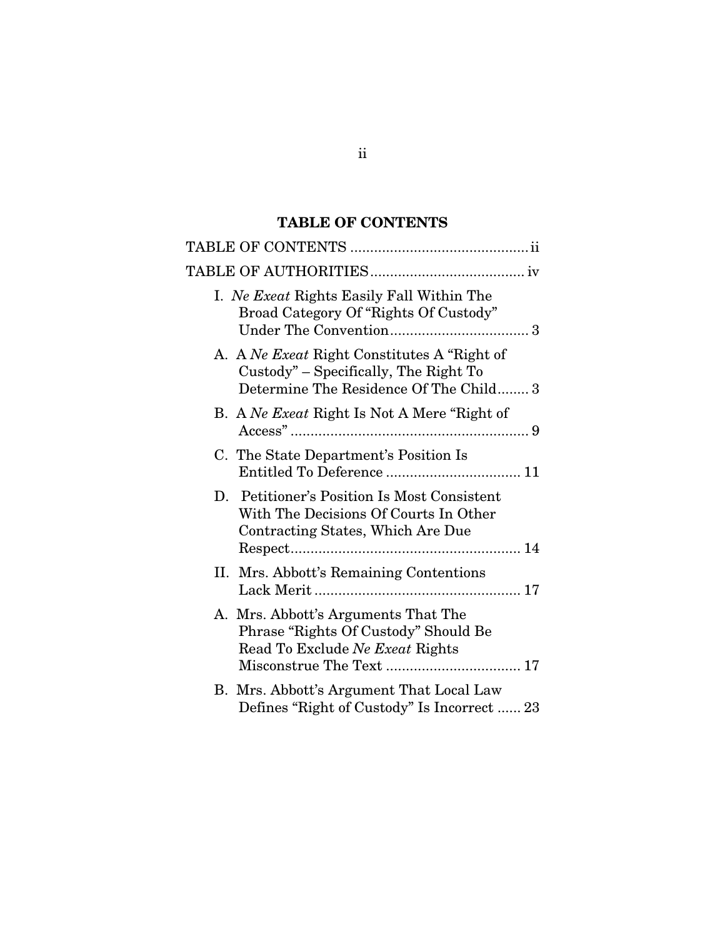# TABLE OF CONTENTS

<span id="page-1-0"></span>

| I. Ne Exeat Rights Easily Fall Within The<br>Broad Category Of "Rights Of Custody"                                             |
|--------------------------------------------------------------------------------------------------------------------------------|
| A. A Ne Exect Right Constitutes A "Right of<br>Custody" – Specifically, The Right To<br>Determine The Residence Of The Child 3 |
| B. A Ne Exect Right Is Not A Mere "Right of                                                                                    |
| C. The State Department's Position Is                                                                                          |
| D. Petitioner's Position Is Most Consistent<br>With The Decisions Of Courts In Other<br>Contracting States, Which Are Due      |
| II. Mrs. Abbott's Remaining Contentions                                                                                        |
| A. Mrs. Abbott's Arguments That The<br>Phrase "Rights Of Custody" Should Be<br>Read To Exclude Ne Exeat Rights                 |
| B. Mrs. Abbott's Argument That Local Law<br>Defines "Right of Custody" Is Incorrect  23                                        |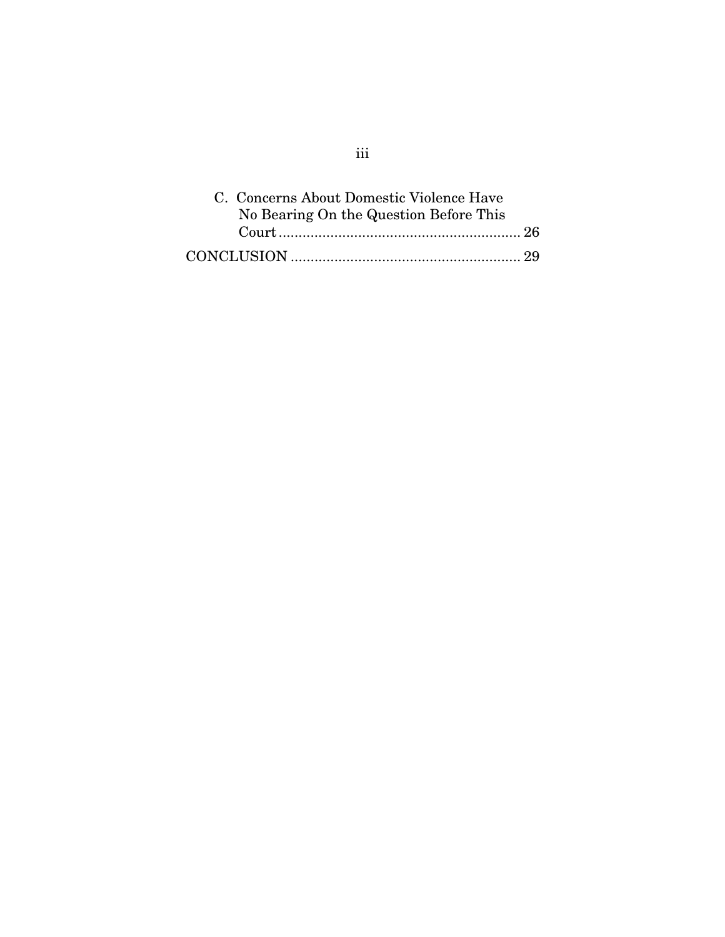| C. Concerns About Domestic Violence Have |  |
|------------------------------------------|--|
| No Bearing On the Question Before This   |  |
|                                          |  |
|                                          |  |

iii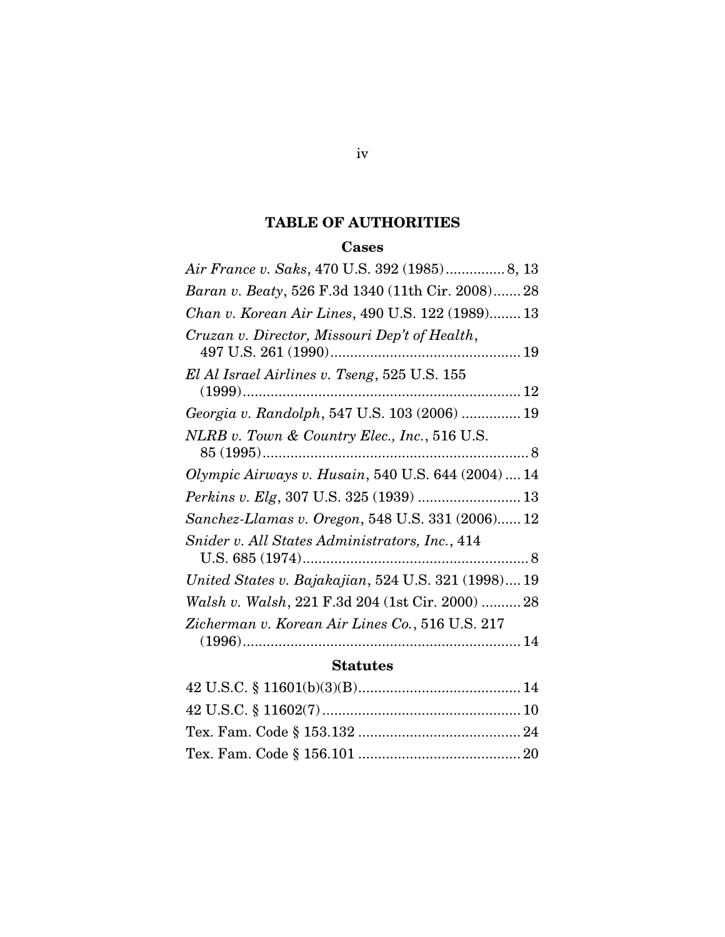## TABLE OF AUTHORITIES

### Cases

<span id="page-3-0"></span>

| Air France v. Saks, 470 U.S. 392 (1985) 8, 13       |
|-----------------------------------------------------|
| Baran v. Beaty, 526 F.3d 1340 (11th Cir. 2008) 28   |
| Chan v. Korean Air Lines, 490 U.S. 122 (1989) 13    |
| Cruzan v. Director, Missouri Dep't of Health,       |
| El Al Israel Airlines v. Tseng, 525 U.S. 155        |
|                                                     |
| Georgia v. Randolph, 547 U.S. 103 (2006)  19        |
| NLRB v. Town & Country Elec., Inc., 516 U.S.        |
| Olympic Airways v. Husain, 540 U.S. 644 (2004)  14  |
|                                                     |
| Sanchez-Llamas v. Oregon, 548 U.S. 331 (2006) 12    |
| Snider v. All States Administrators, Inc., 414      |
| United States v. Bajakajian, 524 U.S. 321 (1998) 19 |
| Walsh v. Walsh, 221 F.3d 204 (1st Cir. 2000)  28    |
| Zicherman v. Korean Air Lines Co., 516 U.S. 217     |
|                                                     |

### Statutes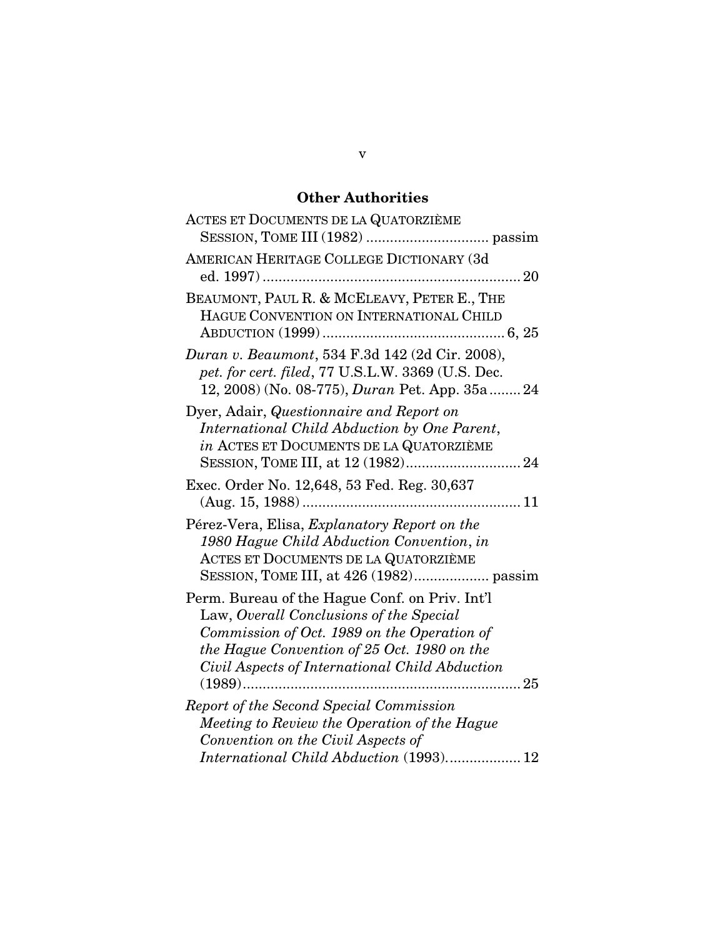# Other Authorities

| ACTES ET DOCUMENTS DE LA QUATORZIÈME                                                                                                                                                                                                      |
|-------------------------------------------------------------------------------------------------------------------------------------------------------------------------------------------------------------------------------------------|
| AMERICAN HERITAGE COLLEGE DICTIONARY (3d                                                                                                                                                                                                  |
| BEAUMONT, PAUL R. & MCELEAVY, PETER E., THE<br>HAGUE CONVENTION ON INTERNATIONAL CHILD                                                                                                                                                    |
| Duran v. Beaumont, 534 F.3d 142 (2d Cir. 2008),<br>pet. for cert. filed, 77 U.S.L.W. 3369 (U.S. Dec.<br>12, 2008) (No. 08-775), <i>Duran</i> Pet. App. 35a 24                                                                             |
| Dyer, Adair, Questionnaire and Report on<br>International Child Abduction by One Parent,<br>in ACTES ET DOCUMENTS DE LA QUATORZIÈME                                                                                                       |
| Exec. Order No. 12,648, 53 Fed. Reg. 30,637                                                                                                                                                                                               |
| Pérez-Vera, Elisa, Explanatory Report on the<br>1980 Hague Child Abduction Convention, in<br>ACTES ET DOCUMENTS DE LA QUATORZIÈME                                                                                                         |
| Perm. Bureau of the Hague Conf. on Priv. Int'l<br>Law, Overall Conclusions of the Special<br>Commission of Oct. 1989 on the Operation of<br>the Hague Convention of 25 Oct. 1980 on the<br>Civil Aspects of International Child Abduction |
| Report of the Second Special Commission<br>Meeting to Review the Operation of the Hague<br>Convention on the Civil Aspects of<br>International Child Abduction (1993) 12                                                                  |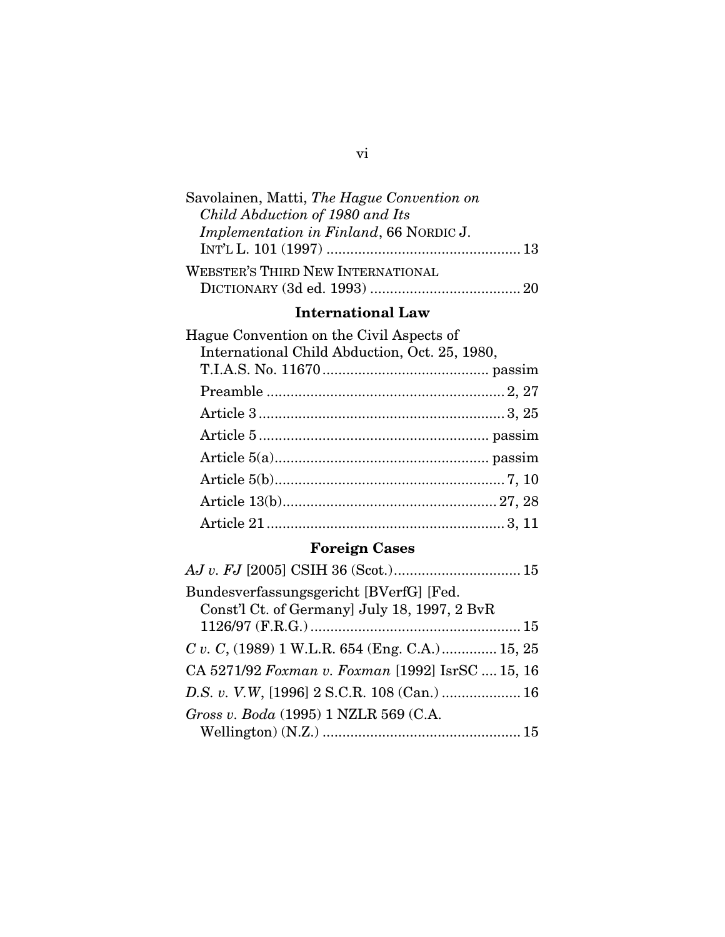| Savolainen, Matti, The Hague Convention on |  |
|--------------------------------------------|--|
| Child Abduction of 1980 and Its            |  |
| Implementation in Finland, 66 NORDIC J.    |  |
|                                            |  |
| <b>WEBSTER'S THIRD NEW INTERNATIONAL</b>   |  |
|                                            |  |

# International Law

| Hague Convention on the Civil Aspects of      |
|-----------------------------------------------|
| International Child Abduction, Oct. 25, 1980, |
|                                               |
|                                               |
|                                               |
|                                               |
|                                               |
|                                               |
|                                               |
|                                               |
|                                               |

# Foreign Cases

| Bundesverfassungsgericht [BVerfG] [Fed.<br>Const'l Ct. of Germany] July 18, 1997, 2 BvR |  |
|-----------------------------------------------------------------------------------------|--|
|                                                                                         |  |
| C v. C, (1989) 1 W.L.R. 654 (Eng. C.A.) 15, 25                                          |  |
| CA 5271/92 Foxman v. Foxman [1992] IsrSC  15, 16                                        |  |
| D.S. v. V.W, [1996] 2 S.C.R. 108 (Can.)  16                                             |  |
| Gross v. Boda (1995) 1 NZLR 569 (C.A.                                                   |  |
|                                                                                         |  |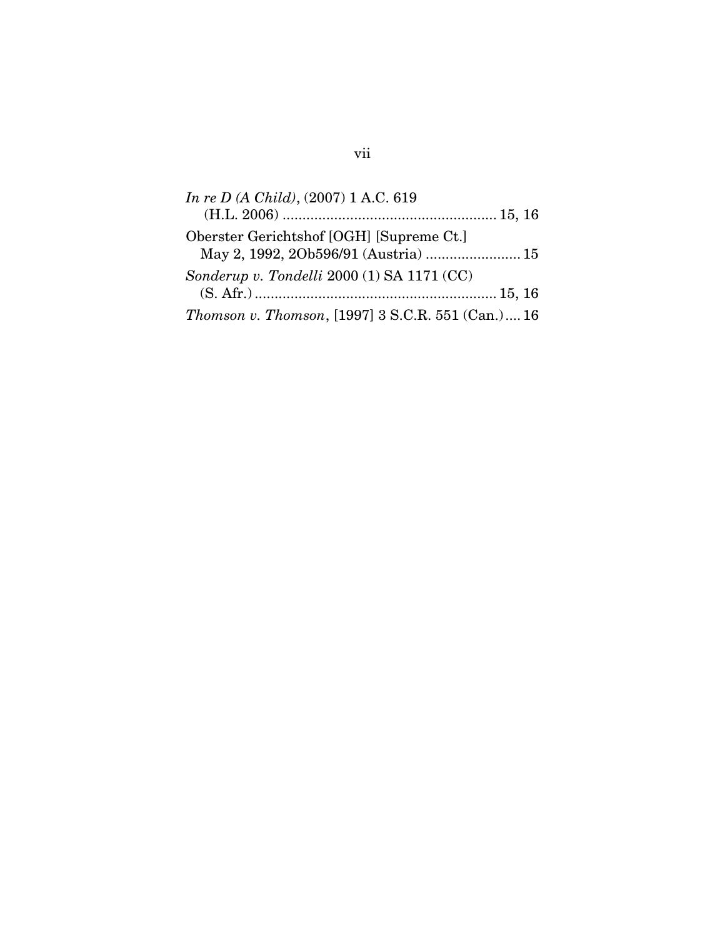| In re D (A Child), $(2007)$ 1 A.C. 619                    |
|-----------------------------------------------------------|
|                                                           |
| Oberster Gerichtshof [OGH] [Supreme Ct.]                  |
| May 2, 1992, 2Ob596/91 (Austria)  15                      |
| Sonderup v. Tondelli 2000 (1) SA 1171 (CC)                |
|                                                           |
| <i>Thomson v. Thomson</i> , [1997] 3 S.C.R. 551 (Can.) 16 |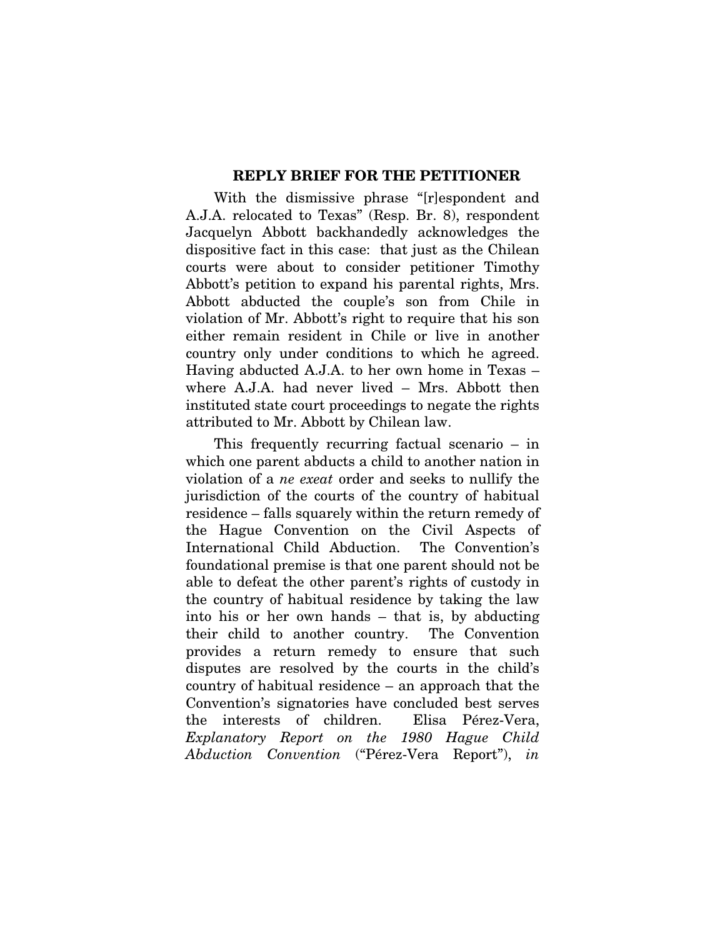#### REPLY BRIEF FOR THE PETITIONER

With the dismissive phrase "[r]espondent and A.J.A. relocated to Texas" (Resp. Br. 8), respondent Jacquelyn Abbott backhandedly acknowledges the dispositive fact in this case: that just as the Chilean courts were about to consider petitioner Timothy Abbott's petition to expand his parental rights, Mrs. Abbott abducted the couple's son from Chile in violation of Mr. Abbott's right to require that his son either remain resident in Chile or live in another country only under conditions to which he agreed. Having abducted A.J.A. to her own home in Texas – where A.J.A. had never lived – Mrs. Abbott then instituted state court proceedings to negate the rights attributed to Mr. Abbott by Chilean law.

This frequently recurring factual scenario – in which one parent abducts a child to another nation in violation of a *ne exeat* order and seeks to nullify the jurisdiction of the courts of the country of habitual residence – falls squarely within the return remedy of the Hague Convention on the Civil Aspects of International Child Abduction. The Convention's foundational premise is that one parent should not be able to defeat the other parent's rights of custody in the country of habitual residence by taking the law into his or her own hands – that is, by abducting their child to another country. The Convention provides a return remedy to ensure that such disputes are resolved by the courts in the child's country of habitual residence – an approach that the Convention's signatories have concluded best serves the interests of children. Elisa Pérez-Vera, *Explanatory Report on the 1980 Hague Child Abduction Convention* ("Pérez-Vera Report"), *in*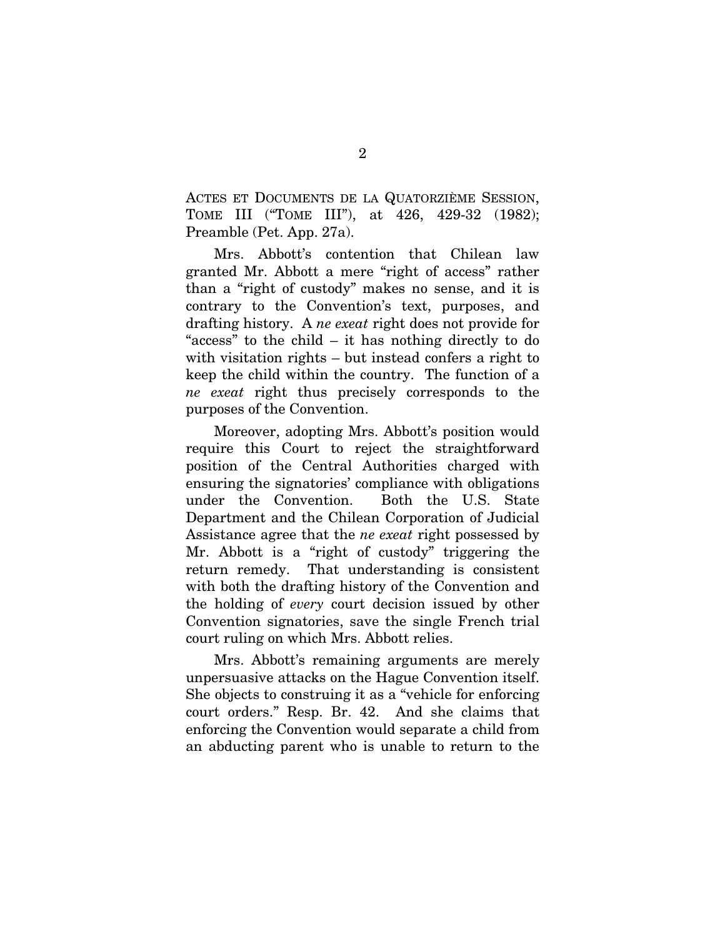ACTES ET DOCUMENTS DE LA QUATORZIÈME SESSION, TOME III ("TOME III"), at 426, 429-32 (1982); Preamble (Pet. App. 27a).

Mrs. Abbott's contention that Chilean law granted Mr. Abbott a mere "right of access" rather than a "right of custody" makes no sense, and it is contrary to the Convention's text, purposes, and drafting history. A *ne exeat* right does not provide for "access" to the child – it has nothing directly to do with visitation rights – but instead confers a right to keep the child within the country. The function of a *ne exeat* right thus precisely corresponds to the purposes of the Convention.

Moreover, adopting Mrs. Abbott's position would require this Court to reject the straightforward position of the Central Authorities charged with ensuring the signatories' compliance with obligations under the Convention. Both the U.S. State Department and the Chilean Corporation of Judicial Assistance agree that the *ne exeat* right possessed by Mr. Abbott is a "right of custody" triggering the return remedy. That understanding is consistent with both the drafting history of the Convention and the holding of *every* court decision issued by other Convention signatories, save the single French trial court ruling on which Mrs. Abbott relies.

Mrs. Abbott's remaining arguments are merely unpersuasive attacks on the Hague Convention itself. She objects to construing it as a "vehicle for enforcing court orders." Resp. Br. 42. And she claims that enforcing the Convention would separate a child from an abducting parent who is unable to return to the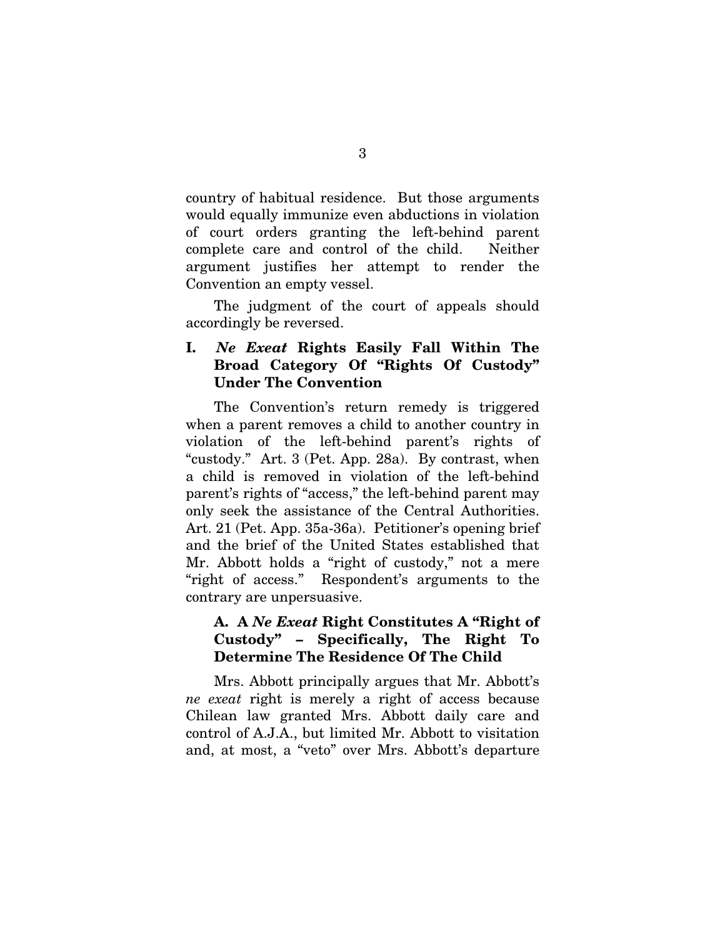<span id="page-9-0"></span>country of habitual residence. But those arguments would equally immunize even abductions in violation of court orders granting the left-behind parent complete care and control of the child. Neither argument justifies her attempt to render the Convention an empty vessel.

The judgment of the court of appeals should accordingly be reversed.

### I. *Ne Exeat* Rights Easily Fall Within The Broad Category Of "Rights Of Custody" Under The Convention

The Convention's return remedy is triggered when a parent removes a child to another country in violation of the left-behind parent's rights of "custody." Art. 3 (Pet. App. 28a). By contrast, when a child is removed in violation of the left-behind parent's rights of "access," the left-behind parent may only seek the assistance of the Central Authorities. Art. 21 (Pet. App. 35a-36a). Petitioner's opening brief and the brief of the United States established that Mr. Abbott holds a "right of custody," not a mere "right of access." Respondent's arguments to the contrary are unpersuasive.

### A. A *Ne Exeat* Right Constitutes A "Right of Custody" – Specifically, The Right To Determine The Residence Of The Child

Mrs. Abbott principally argues that Mr. Abbott's *ne exeat* right is merely a right of access because Chilean law granted Mrs. Abbott daily care and control of A.J.A., but limited Mr. Abbott to visitation and, at most, a "veto" over Mrs. Abbott's departure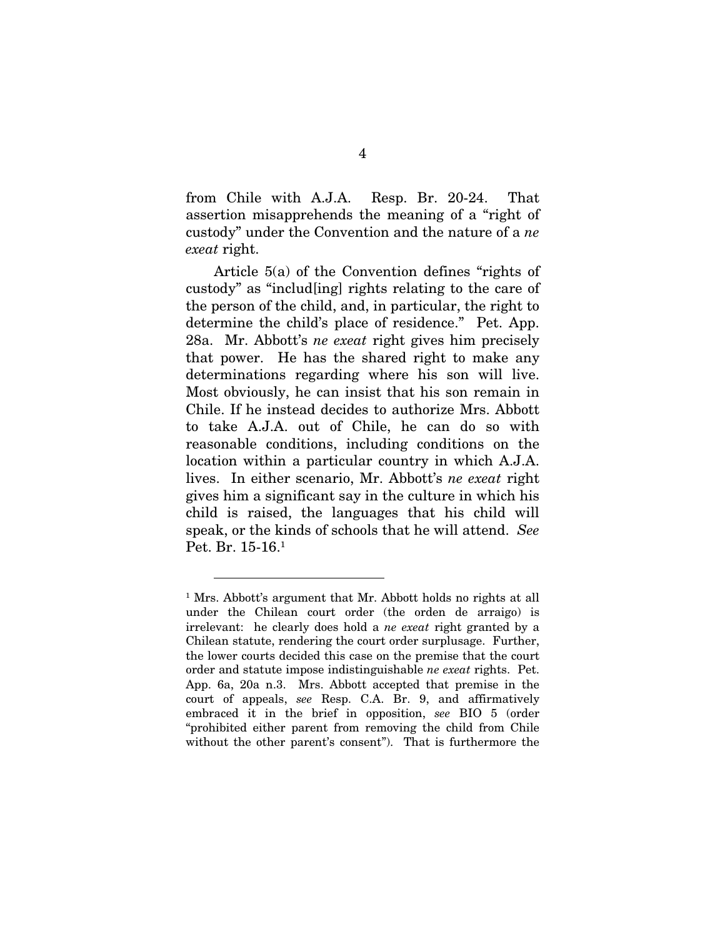from Chile with A.J.A. Resp. Br. 20-24. That assertion misapprehends the meaning of a "right of custody" under the Convention and the nature of a *ne exeat* right.

Article 5(a) of the Convention defines "rights of custody" as "includ[ing] rights relating to the care of the person of the child, and, in particular, the right to determine the child's place of residence." Pet. App. 28a. Mr. Abbott's *ne exeat* right gives him precisely that power. He has the shared right to make any determinations regarding where his son will live. Most obviously, he can insist that his son remain in Chile. If he instead decides to authorize Mrs. Abbott to take A.J.A. out of Chile, he can do so with reasonable conditions, including conditions on the location within a particular country in which A.J.A. lives. In either scenario, Mr. Abbott's *ne exeat* right gives him a significant say in the culture in which his child is raised, the languages that his child will speak, or the kinds of schools that he will attend. *See*  Pet. Br. 15-16[.1](#page-10-0)

<span id="page-10-0"></span><sup>&</sup>lt;sup>1</sup> Mrs. Abbott's argument that Mr. Abbott holds no rights at all under the Chilean court order (the orden de arraigo) is irrelevant: he clearly does hold a *ne exeat* right granted by a Chilean statute, rendering the court order surplusage. Further, the lower courts decided this case on the premise that the court order and statute impose indistinguishable *ne exeat* rights. Pet. App. 6a, 20a n.3. Mrs. Abbott accepted that premise in the court of appeals, *see* Resp. C.A. Br. 9, and affirmatively embraced it in the brief in opposition, *see* BIO 5 (order "prohibited either parent from removing the child from Chile without the other parent's consent"). That is furthermore the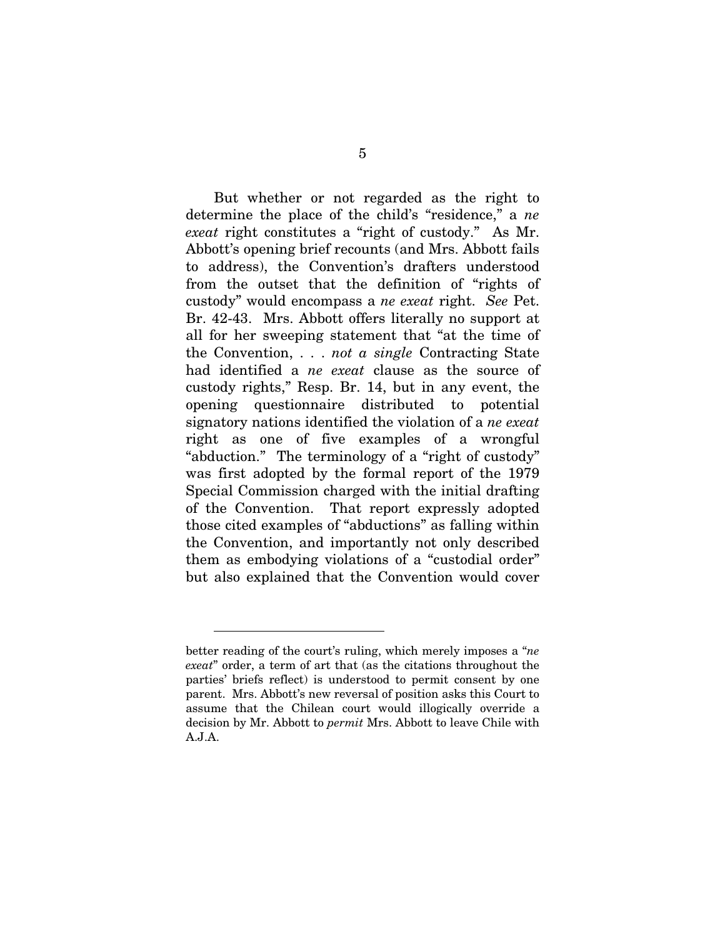But whether or not regarded as the right to determine the place of the child's "residence," a *ne exeat* right constitutes a "right of custody." As Mr. Abbott's opening brief recounts (and Mrs. Abbott fails to address), the Convention's drafters understood from the outset that the definition of "rights of custody" would encompass a *ne exeat* right. *See* Pet. Br. 42-43. Mrs. Abbott offers literally no support at all for her sweeping statement that "at the time of the Convention, . . . *not a single* Contracting State had identified a *ne exeat* clause as the source of custody rights," Resp. Br. 14, but in any event, the opening questionnaire distributed to potential signatory nations identified the violation of a *ne exeat* right as one of five examples of a wrongful "abduction." The terminology of a "right of custody" was first adopted by the formal report of the 1979 Special Commission charged with the initial drafting of the Convention. That report expressly adopted those cited examples of "abductions" as falling within the Convention, and importantly not only described them as embodying violations of a "custodial order" but also explained that the Convention would cover

better reading of the court's ruling, which merely imposes a "*ne exeat*" order, a term of art that (as the citations throughout the parties' briefs reflect) is understood to permit consent by one parent. Mrs. Abbott's new reversal of position asks this Court to assume that the Chilean court would illogically override a decision by Mr. Abbott to *permit* Mrs. Abbott to leave Chile with A.J.A.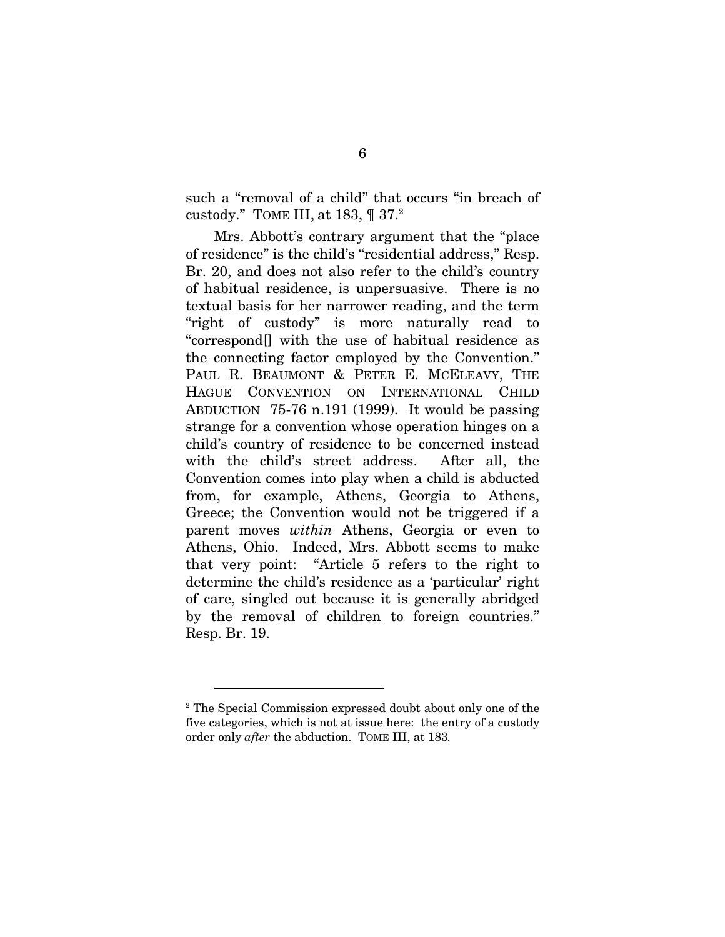such a "removal of a child" that occurs "in breach of custody." TOME III, at 183, ¶ 37.[2](#page-12-0)

Mrs. Abbott's contrary argument that the "place of residence" is the child's "residential address," Resp. Br. 20, and does not also refer to the child's country of habitual residence, is unpersuasive. There is no textual basis for her narrower reading, and the term "right of custody" is more naturally read to "correspond[] with the use of habitual residence as the connecting factor employed by the Convention." PAUL R. BEAUMONT & PETER E. MCELEAVY, THE HAGUE CONVENTION ON INTERNATIONAL CHILD ABDUCTION 75-76 n.191 (1999). It would be passing strange for a convention whose operation hinges on a child's country of residence to be concerned instead with the child's street address. After all, the Convention comes into play when a child is abducted from, for example, Athens, Georgia to Athens, Greece; the Convention would not be triggered if a parent moves *within* Athens, Georgia or even to Athens, Ohio. Indeed, Mrs. Abbott seems to make that very point: "Article 5 refers to the right to determine the child's residence as a 'particular' right of care, singled out because it is generally abridged by the removal of children to foreign countries." Resp. Br. 19.

<span id="page-12-0"></span><sup>&</sup>lt;sup>2</sup> The Special Commission expressed doubt about only one of the five categories, which is not at issue here: the entry of a custody order only *after* the abduction. TOME III, at 183*.*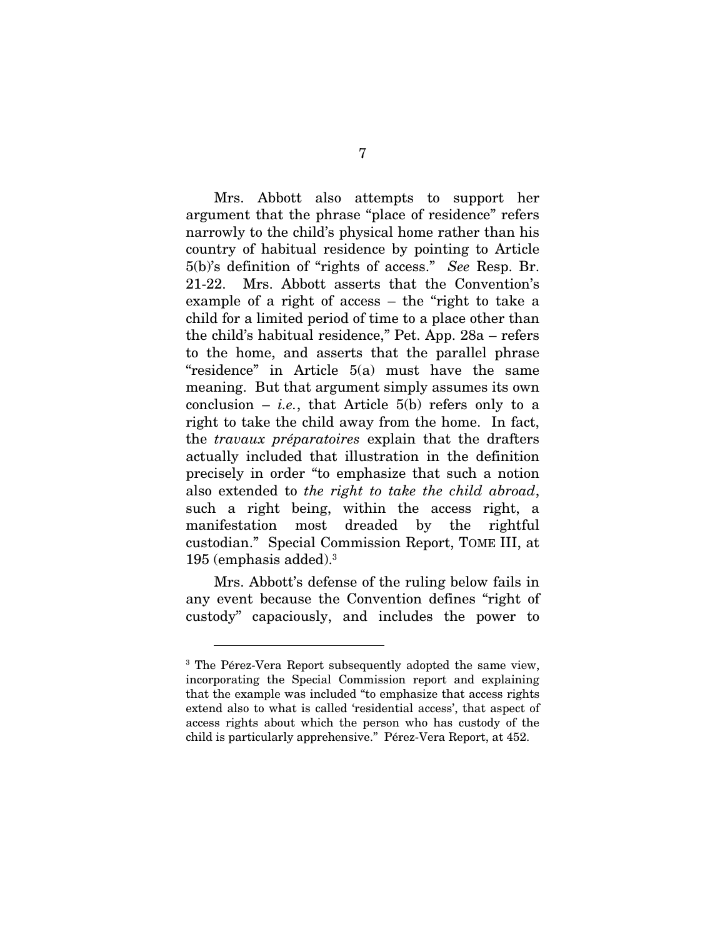Mrs. Abbott also attempts to support her argument that the phrase "place of residence" refers narrowly to the child's physical home rather than his country of habitual residence by pointing to Article 5(b)'s definition of "rights of access." *See* Resp. Br. 21-22. Mrs. Abbott asserts that the Convention's example of a right of access – the "right to take a child for a limited period of time to a place other than the child's habitual residence," Pet. App. 28a – refers to the home, and asserts that the parallel phrase "residence" in Article 5(a) must have the same meaning. But that argument simply assumes its own conclusion  $-$  *i.e.*, that Article 5(b) refers only to a right to take the child away from the home. In fact, the *travaux préparatoires* explain that the drafters actually included that illustration in the definition precisely in order "to emphasize that such a notion also extended to *the right to take the child abroad*, such a right being, within the access right, a manifestation most dreaded by the rightful custodian." Special Commission Report, TOME III, at 195 (emphasis added).[3](#page-13-0)

Mrs. Abbott's defense of the ruling below fails in any event because the Convention defines "right of custody" capaciously, and includes the power to

<span id="page-13-0"></span><sup>&</sup>lt;sup>3</sup> The Pérez-Vera Report subsequently adopted the same view, incorporating the Special Commission report and explaining that the example was included "to emphasize that access rights extend also to what is called 'residential access', that aspect of access rights about which the person who has custody of the child is particularly apprehensive." Pérez-Vera Report, at 452.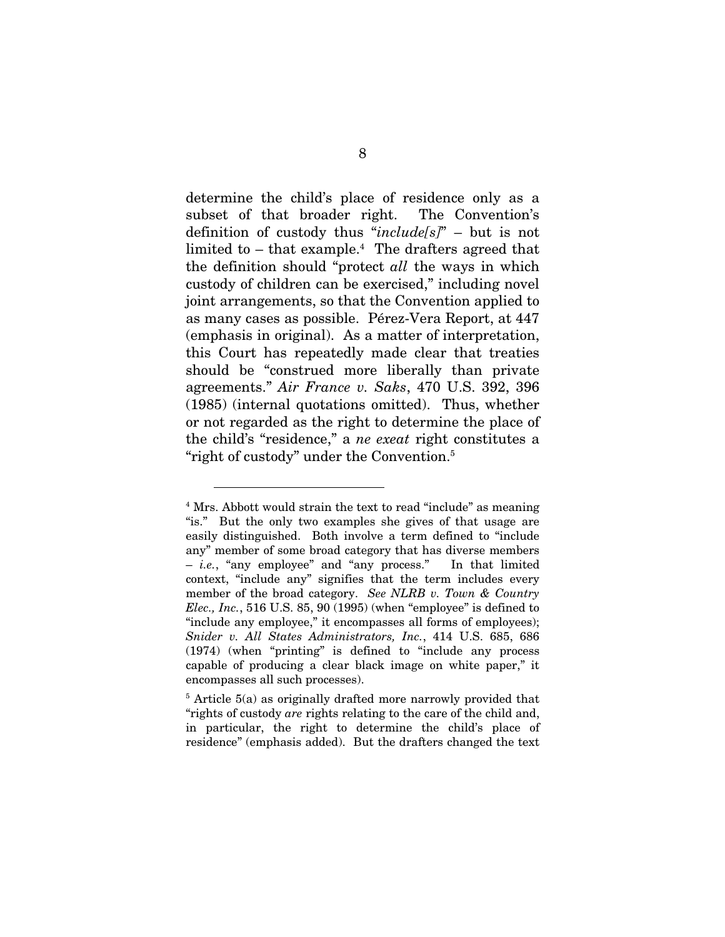determine the child's place of residence only as a subset of that broader right. The Convention's definition of custody thus "*include[s]*" – but is not limited to – that example.<sup>4</sup> The drafters agreed that the definition should "protect *all* the ways in which custody of children can be exercised," including novel joint arrangements, so that the Convention applied to as many cases as possible. Pérez-Vera Report, at 447 (emphasis in original). As a matter of interpretation, this Court has repeatedly made clear that treaties should be "construed more liberally than private agreements." *Air France v. Saks*, 470 U.S. 392, 396 (1985) (internal quotations omitted). Thus, whether or not regarded as the right to determine the place of the child's "residence," a *ne exeat* right constitutes a "right of custody" under the Convention.<sup>5</sup>

<span id="page-14-0"></span><sup>&</sup>lt;sup>4</sup> Mrs. Abbott would strain the text to read "include" as meaning "is." But the only two examples she gives of that usage are easily distinguished. Both involve a term defined to "include any" member of some broad category that has diverse members – *i.e.*, "any employee" and "any process." In that limited context, "include any" signifies that the term includes every member of the broad category. *See NLRB v. Town & Country Elec., Inc.*, 516 U.S. 85, 90 (1995) (when "employee" is defined to "include any employee," it encompasses all forms of employees); *Snider v. All States Administrators, Inc.*, 414 U.S. 685, 686 (1974) (when "printing" is defined to "include any process capable of producing a clear black image on white paper," it encompasses all such processes).

<span id="page-14-1"></span><sup>&</sup>lt;sup>5</sup> Article 5(a) as originally drafted more narrowly provided that "rights of custody *are* rights relating to the care of the child and, in particular, the right to determine the child's place of residence" (emphasis added). But the drafters changed the text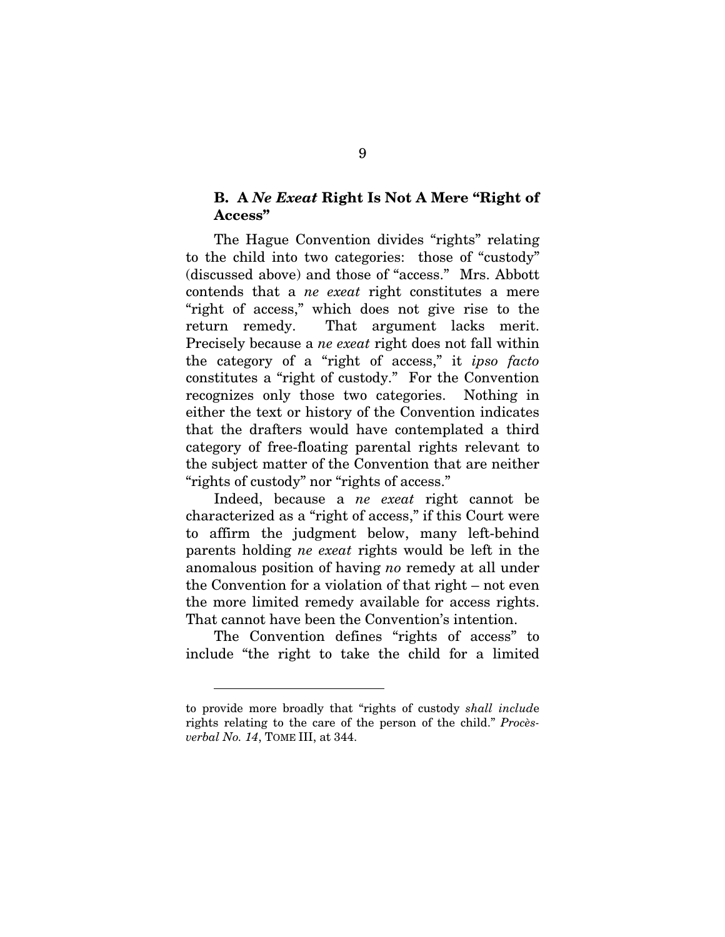#### <span id="page-15-0"></span>B. A *Ne Exeat* Right Is Not A Mere "Right of Access"

The Hague Convention divides "rights" relating to the child into two categories: those of "custody" (discussed above) and those of "access." Mrs. Abbott contends that a *ne exeat* right constitutes a mere "right of access," which does not give rise to the return remedy. That argument lacks merit. Precisely because a *ne exeat* right does not fall within the category of a "right of access," it *ipso facto* constitutes a "right of custody." For the Convention recognizes only those two categories. Nothing in either the text or history of the Convention indicates that the drafters would have contemplated a third category of free-floating parental rights relevant to the subject matter of the Convention that are neither "rights of custody" nor "rights of access."

Indeed, because a *ne exeat* right cannot be characterized as a "right of access," if this Court were to affirm the judgment below, many left-behind parents holding *ne exeat* rights would be left in the anomalous position of having *no* remedy at all under the Convention for a violation of that right – not even the more limited remedy available for access rights. That cannot have been the Convention's intention.

The Convention defines "rights of access" to include "the right to take the child for a limited

to provide more broadly that "rights of custody *shall includ*e rights relating to the care of the person of the child." *Procèsverbal No. 14*, TOME III, at 344.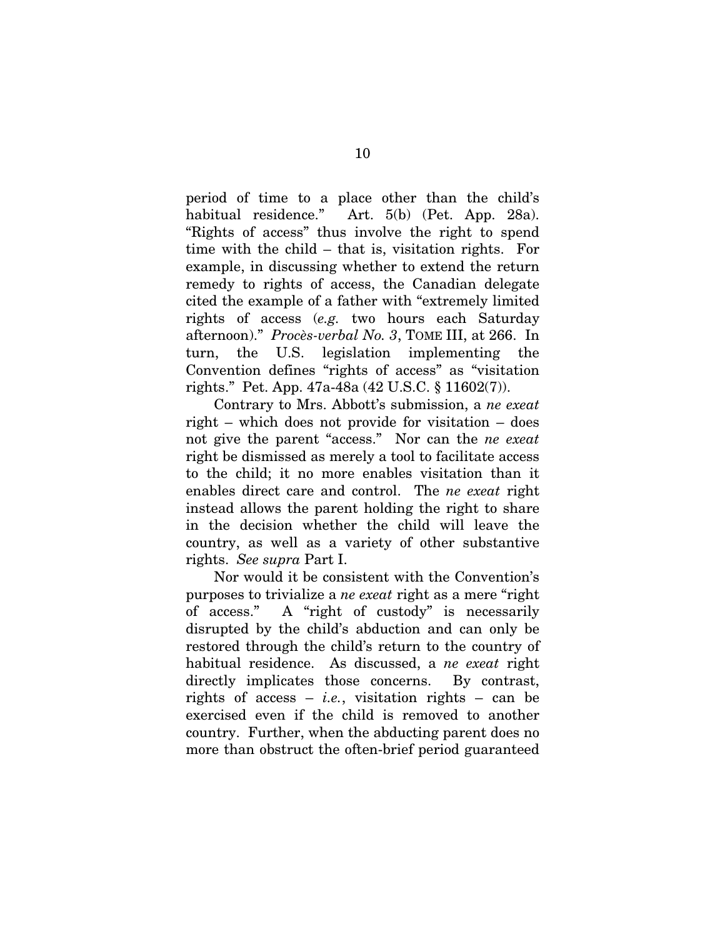period of time to a place other than the child's habitual residence." Art. 5(b) (Pet. App. 28a). "Rights of access" thus involve the right to spend time with the child – that is, visitation rights. For example, in discussing whether to extend the return remedy to rights of access, the Canadian delegate cited the example of a father with "extremely limited rights of access (*e.g.* two hours each Saturday afternoon)." *Procès-verbal No. 3*, TOME III, at 266. In turn, the U.S. legislation implementing the Convention defines "rights of access" as "visitation rights." Pet. App. 47a-48a (42 U.S.C. § 11602(7)).

Contrary to Mrs. Abbott's submission, a *ne exeat* right – which does not provide for visitation – does not give the parent "access." Nor can the *ne exeat* right be dismissed as merely a tool to facilitate access to the child; it no more enables visitation than it enables direct care and control. The *ne exeat* right instead allows the parent holding the right to share in the decision whether the child will leave the country, as well as a variety of other substantive rights. *See supra* Part I.

Nor would it be consistent with the Convention's purposes to trivialize a *ne exeat* right as a mere "right of access." A "right of custody" is necessarily disrupted by the child's abduction and can only be restored through the child's return to the country of habitual residence. As discussed, a *ne exeat* right directly implicates those concerns. By contrast, rights of access – *i.e.*, visitation rights – can be exercised even if the child is removed to another country. Further, when the abducting parent does no more than obstruct the often-brief period guaranteed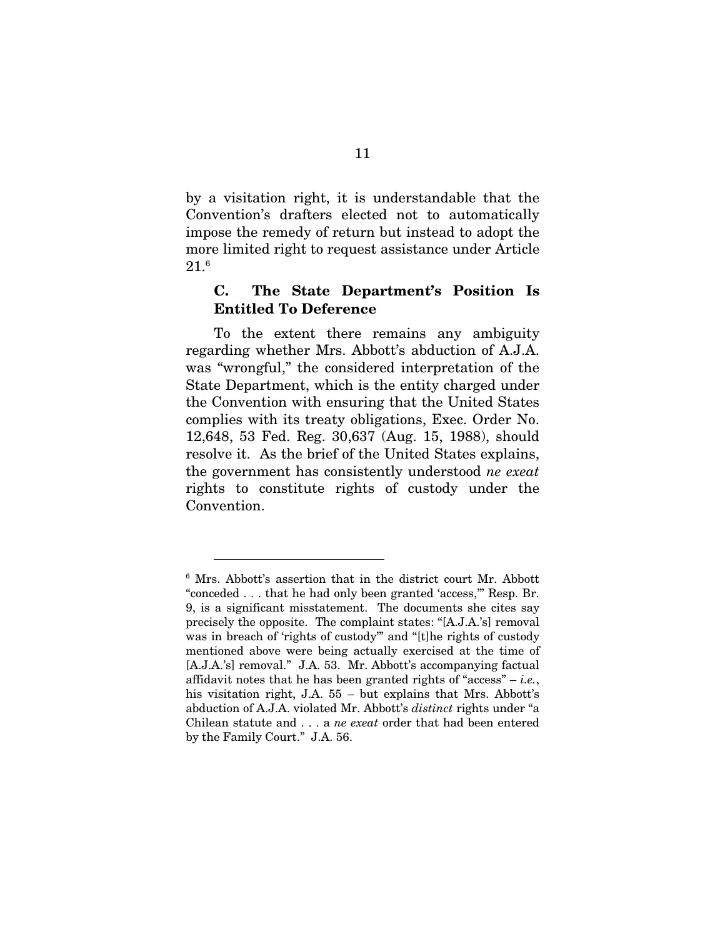<span id="page-17-0"></span>by a visitation right, it is understandable that the Convention's drafters elected not to automatically impose the remedy of return but instead to adopt the more limited right to request assistance under Article  $21.^{\rm 6}$ 

### C. The State Department's Position Is Entitled To Deference

To the extent there remains any ambiguity regarding whether Mrs. Abbott's abduction of A.J.A. was "wrongful," the considered interpretation of the State Department, which is the entity charged under the Convention with ensuring that the United States complies with its treaty obligations, Exec. Order No. 12,648, 53 Fed. Reg. 30,637 (Aug. 15, 1988), should resolve it. As the brief of the United States explains, the government has consistently understood *ne exeat* rights to constitute rights of custody under the Convention.

<span id="page-17-1"></span><sup>6</sup> Mrs. Abbott's assertion that in the district court Mr. Abbott "conceded . . . that he had only been granted 'access,'" Resp. Br. 9, is a significant misstatement. The documents she cites say precisely the opposite. The complaint states: "[A.J.A.'s] removal was in breach of 'rights of custody'" and "[t]he rights of custody mentioned above were being actually exercised at the time of [A.J.A.'s] removal." J.A. 53. Mr. Abbott's accompanying factual affidavit notes that he has been granted rights of "access" – *i.e.*, his visitation right, J.A. 55 – but explains that Mrs. Abbott's abduction of A.J.A. violated Mr. Abbott's *distinct* rights under "a Chilean statute and . . . a *ne exeat* order that had been entered by the Family Court." J.A. 56.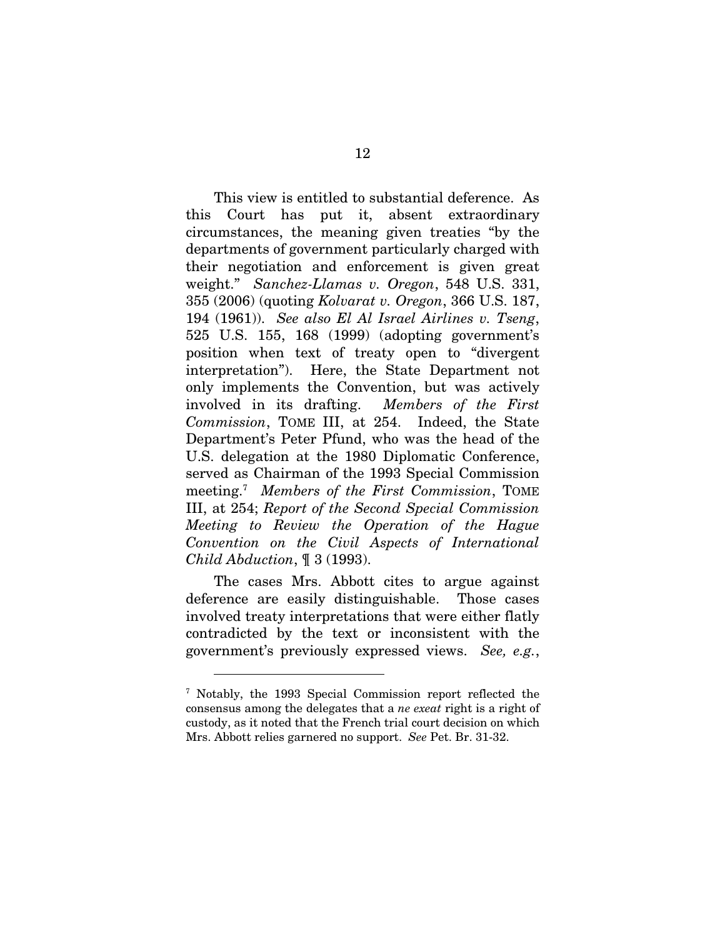This view is entitled to substantial deference. As this Court has put it, absent extraordinary circumstances, the meaning given treaties "by the departments of government particularly charged with their negotiation and enforcement is given great weight." *Sanchez-Llamas v. Oregon*, 548 U.S. 331, 355 (2006) (quoting *Kolvarat v. Oregon*, 366 U.S. 187, 194 (1961)). *See also El Al Israel Airlines v. Tseng*, 525 U.S. 155, 168 (1999) (adopting government's position when text of treaty open to "divergent interpretation"). Here, the State Department not only implements the Convention, but was actively involved in its drafting. *Members of the First Commission*, TOME III, at 254. Indeed, the State Department's Peter Pfund, who was the head of the U.S. delegation at the 1980 Diplomatic Conference, served as Chairman of the 1993 Special Commission meeting[.7](#page-18-0) *Members of the First Commission*, TOME III, at 254; *Report of the Second Special Commission Meeting to Review the Operation of the Hague Convention on the Civil Aspects of International Child Abduction*, ¶ 3 (1993).

The cases Mrs. Abbott cites to argue against deference are easily distinguishable. Those cases involved treaty interpretations that were either flatly contradicted by the text or inconsistent with the government's previously expressed views. *See, e.g.*,

 $\overline{a}$ 

<span id="page-18-0"></span><sup>7</sup> Notably, the 1993 Special Commission report reflected the consensus among the delegates that a *ne exeat* right is a right of custody, as it noted that the French trial court decision on which Mrs. Abbott relies garnered no support. *See* Pet. Br. 31-32.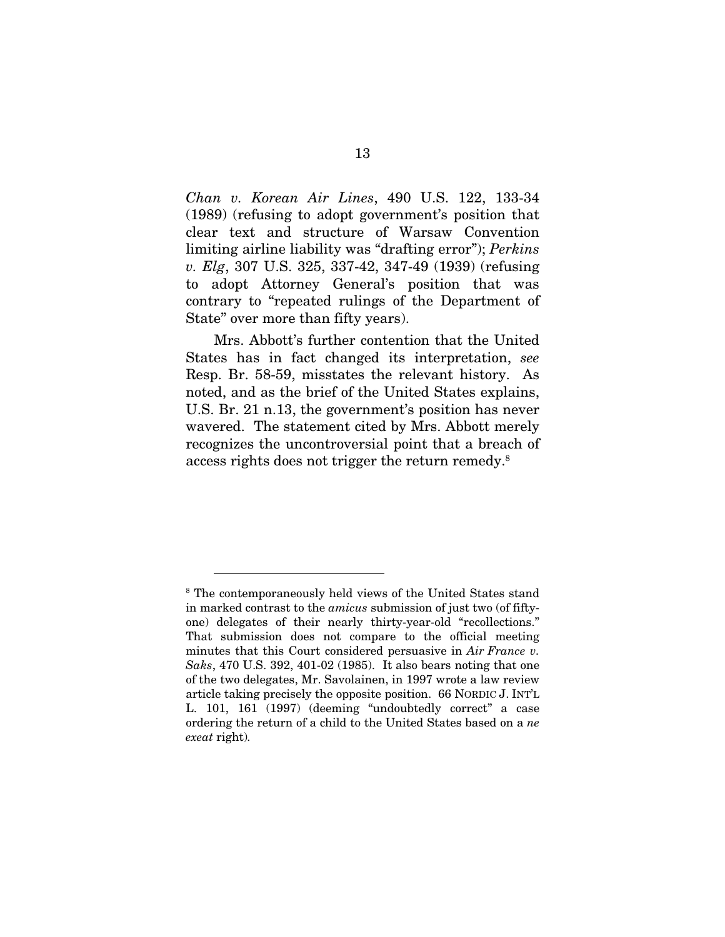*Chan v. Korean Air Lines*, 490 U.S. 122, 133-34 (1989) (refusing to adopt government's position that clear text and structure of Warsaw Convention limiting airline liability was "drafting error"); *Perkins v. Elg*, 307 U.S. 325, 337-42, 347-49 (1939) (refusing to adopt Attorney General's position that was contrary to "repeated rulings of the Department of State" over more than fifty years).

Mrs. Abbott's further contention that the United States has in fact changed its interpretation, *see*  Resp. Br. 58-59, misstates the relevant history. As noted, and as the brief of the United States explains, U.S. Br. 21 n.13, the government's position has never wavered. The statement cited by Mrs. Abbott merely recognizes the uncontroversial point that a breach of access rights does not trigger the return remedy.[8](#page-19-0)

<span id="page-19-0"></span><sup>&</sup>lt;sup>8</sup> The contemporaneously held views of the United States stand in marked contrast to the *amicus* submission of just two (of fiftyone) delegates of their nearly thirty-year-old "recollections." That submission does not compare to the official meeting minutes that this Court considered persuasive in *Air France v. Saks*, 470 U.S. 392, 401-02 (1985). It also bears noting that one of the two delegates, Mr. Savolainen, in 1997 wrote a law review article taking precisely the opposite position. 66 NORDIC J. INT'L L. 101, 161 (1997) (deeming "undoubtedly correct" a case ordering the return of a child to the United States based on a *ne exeat* right)*.*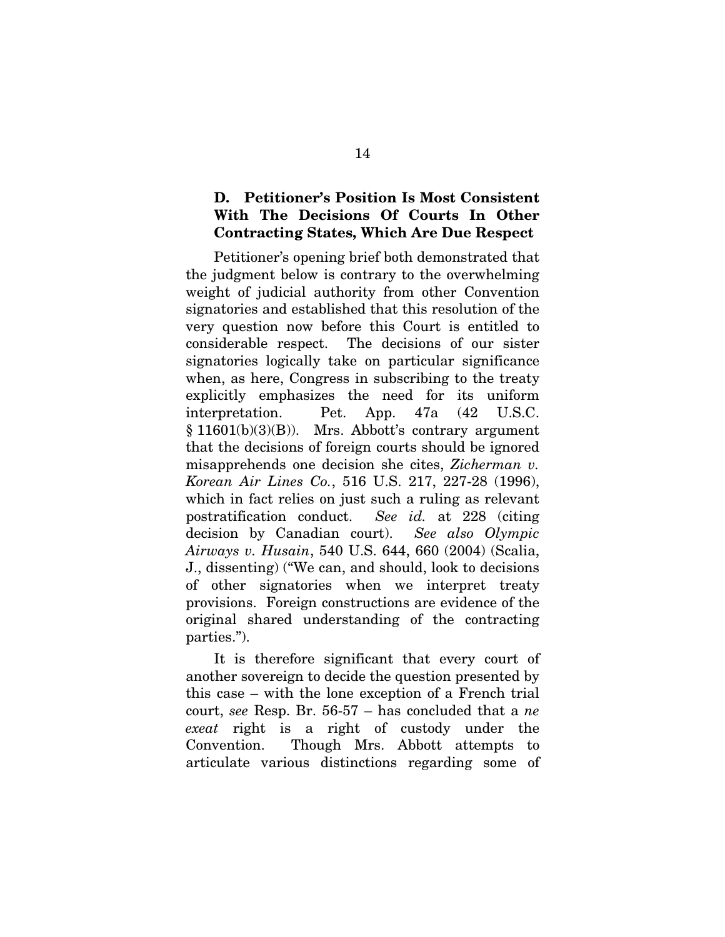### <span id="page-20-0"></span>D. Petitioner's Position Is Most Consistent With The Decisions Of Courts In Other Contracting States, Which Are Due Respect

Petitioner's opening brief both demonstrated that the judgment below is contrary to the overwhelming weight of judicial authority from other Convention signatories and established that this resolution of the very question now before this Court is entitled to considerable respect. The decisions of our sister signatories logically take on particular significance when, as here, Congress in subscribing to the treaty explicitly emphasizes the need for its uniform interpretation. Pet. App. 47a (42 U.S.C. § 11601(b)(3)(B)). Mrs. Abbott's contrary argument that the decisions of foreign courts should be ignored misapprehends one decision she cites, *Zicherman v. Korean Air Lines Co.*, 516 U.S. 217, 227-28 (1996), which in fact relies on just such a ruling as relevant postratification conduct. *See id.* at 228 (citing decision by Canadian court). *See also Olympic Airways v. Husain*, 540 U.S. 644, 660 (2004) (Scalia, J., dissenting) ("We can, and should, look to decisions of other signatories when we interpret treaty provisions. Foreign constructions are evidence of the original shared understanding of the contracting parties.").

It is therefore significant that every court of another sovereign to decide the question presented by this case – with the lone exception of a French trial court, *see* Resp. Br. 56-57 – has concluded that a *ne exeat* right is a right of custody under the Convention. Though Mrs. Abbott attempts to articulate various distinctions regarding some of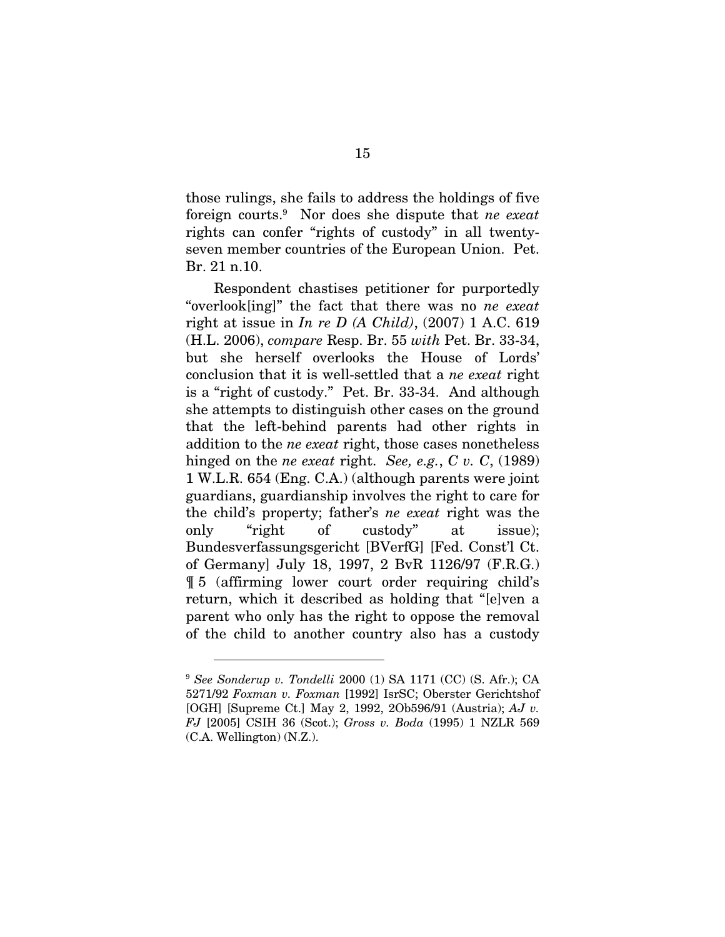those rulings, she fails to address the holdings of five foreign courts.[9](#page-21-0) Nor does she dispute that *ne exeat* rights can confer "rights of custody" in all twentyseven member countries of the European Union. Pet. Br. 21 n.10.

Respondent chastises petitioner for purportedly "overlook[ing]" the fact that there was no *ne exeat*  right at issue in *In re D (A Child)*, (2007) 1 A.C. 619 (H.L. 2006), *compare* Resp. Br. 55 *with* Pet. Br. 33-34, but she herself overlooks the House of Lords' conclusion that it is well-settled that a *ne exeat* right is a "right of custody." Pet. Br. 33-34. And although she attempts to distinguish other cases on the ground that the left-behind parents had other rights in addition to the *ne exeat* right, those cases nonetheless hinged on the *ne exeat* right. *See, e.g.*, *C v. C*, (1989) 1 W.L.R. 654 (Eng. C.A.) (although parents were joint guardians, guardianship involves the right to care for the child's property; father's *ne exeat* right was the only "right of custody" at issue); Bundesverfassungsgericht [BVerfG] [Fed. Const'l Ct. of Germany] July 18, 1997, 2 BvR 1126/97 (F.R.G.) ¶ 5 (affirming lower court order requiring child's return, which it described as holding that "[e]ven a parent who only has the right to oppose the removal of the child to another country also has a custody

<span id="page-21-0"></span><sup>9</sup> *See Sonderup v. Tondelli* 2000 (1) SA 1171 (CC) (S. Afr.); CA 5271/92 *Foxman v. Foxman* [1992] IsrSC; Oberster Gerichtshof [OGH] [Supreme Ct.] May 2, 1992, 2Ob596/91 (Austria); *AJ v. FJ* [2005] CSIH 36 (Scot.); *Gross v. Boda* (1995) 1 NZLR 569 (C.A. Wellington) (N.Z.).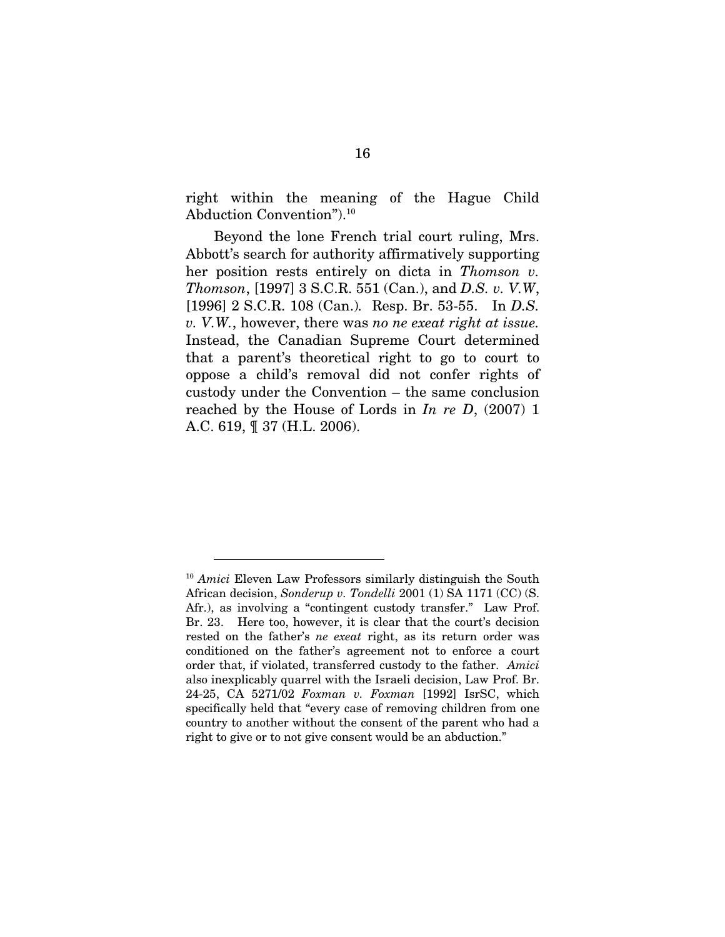right within the meaning of the Hague Child Abduction Convention").[10](#page-22-0) 

Beyond the lone French trial court ruling, Mrs. Abbott's search for authority affirmatively supporting her position rests entirely on dicta in *Thomson v. Thomson*, [1997] 3 S.C.R. 551 (Can.), and *D.S. v. V.W*, [1996] 2 S.C.R. 108 (Can.)*.* Resp. Br. 53-55. In *D.S. v. V.W.*, however, there was *no ne exeat right at issue.* Instead, the Canadian Supreme Court determined that a parent's theoretical right to go to court to oppose a child's removal did not confer rights of custody under the Convention – the same conclusion reached by the House of Lords in *In re D*, (2007) 1 A.C. 619, ¶ 37 (H.L. 2006).

<span id="page-22-0"></span><sup>&</sup>lt;sup>10</sup> Amici Eleven Law Professors similarly distinguish the South African decision, *Sonderup v. Tondelli* 2001 (1) SA 1171 (CC) (S. Afr.), as involving a "contingent custody transfer." Law Prof. Br. 23. Here too, however, it is clear that the court's decision rested on the father's *ne exeat* right, as its return order was conditioned on the father's agreement not to enforce a court order that, if violated, transferred custody to the father. *Amici*  also inexplicably quarrel with the Israeli decision, Law Prof. Br. 24-25, CA 5271/02 *Foxman v. Foxman* [1992] IsrSC, which specifically held that "every case of removing children from one country to another without the consent of the parent who had a right to give or to not give consent would be an abduction."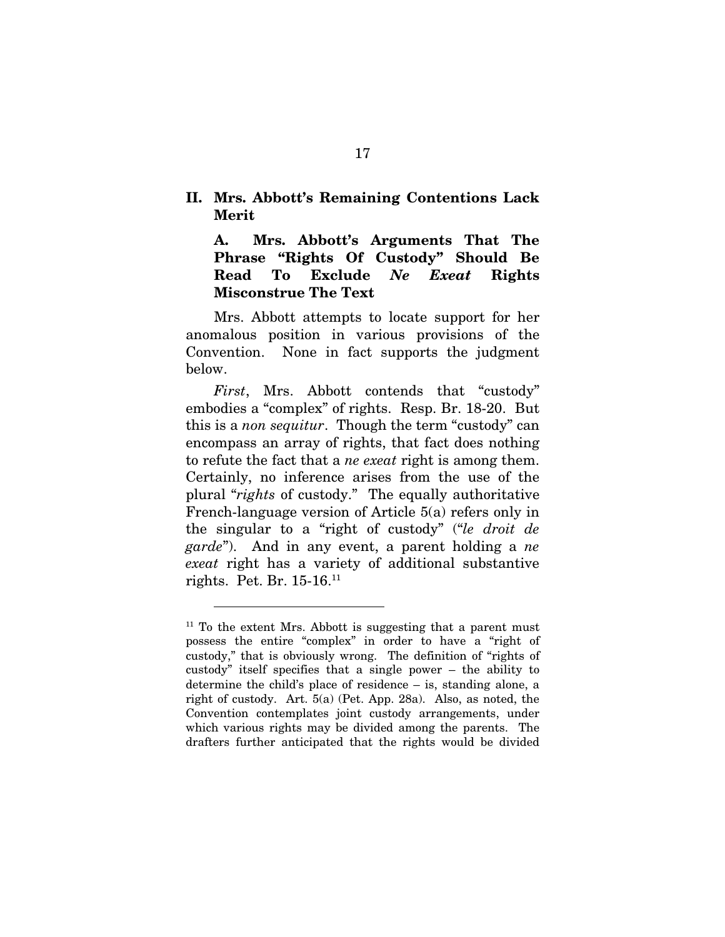### <span id="page-23-0"></span>II. Mrs. Abbott's Remaining Contentions Lack Merit

A. Mrs. Abbott's Arguments That The Phrase "Rights Of Custody" Should Be Read To Exclude *Ne Exeat* Rights Misconstrue The Text

Mrs. Abbott attempts to locate support for her anomalous position in various provisions of the Convention. None in fact supports the judgment below.

*First*, Mrs. Abbott contends that "custody" embodies a "complex" of rights. Resp. Br. 18-20. But this is a *non sequitur*. Though the term "custody" can encompass an array of rights, that fact does nothing to refute the fact that a *ne exeat* right is among them. Certainly, no inference arises from the use of the plural "*rights* of custody." The equally authoritative French-language version of Article 5(a) refers only in the singular to a "right of custody" ("*le droit de garde*"). And in any event, a parent holding a *ne exeat* right has a variety of additional substantive rights. Pet. Br. 15-16[.11](#page-23-1)

<span id="page-23-1"></span> $11$  To the extent Mrs. Abbott is suggesting that a parent must possess the entire "complex" in order to have a "right of custody," that is obviously wrong. The definition of "rights of custody" itself specifies that a single power – the ability to determine the child's place of residence – is, standing alone, a right of custody. Art. 5(a) (Pet. App. 28a). Also, as noted, the Convention contemplates joint custody arrangements, under which various rights may be divided among the parents. The drafters further anticipated that the rights would be divided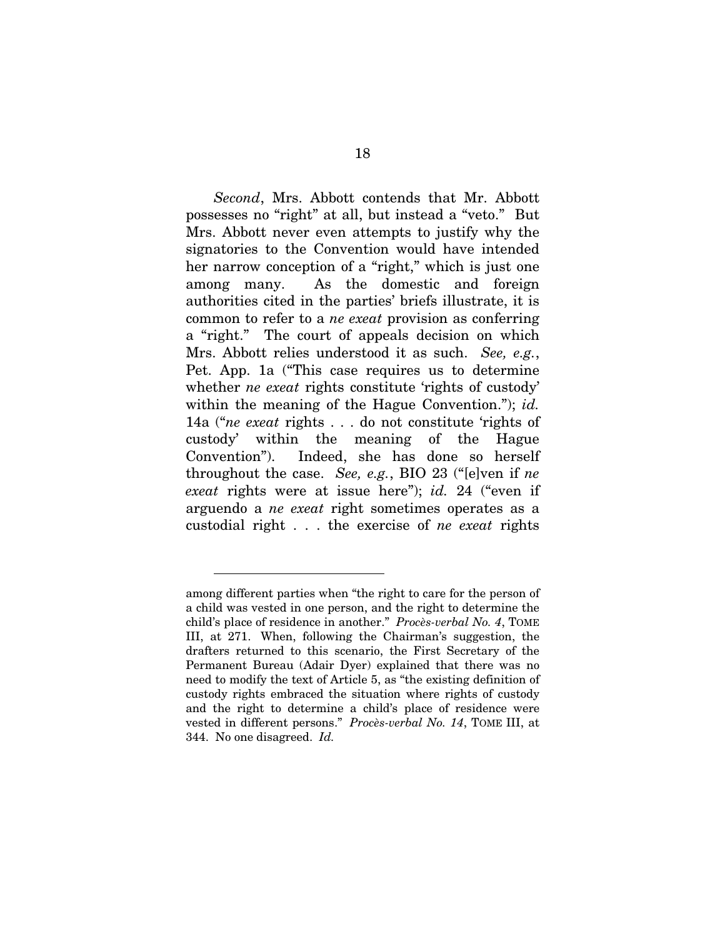*Second*, Mrs. Abbott contends that Mr. Abbott possesses no "right" at all, but instead a "veto." But Mrs. Abbott never even attempts to justify why the signatories to the Convention would have intended her narrow conception of a "right," which is just one among many. As the domestic and foreign authorities cited in the parties' briefs illustrate, it is common to refer to a *ne exeat* provision as conferring a "right." The court of appeals decision on which Mrs. Abbott relies understood it as such. *See, e.g.*, Pet. App. 1a ("This case requires us to determine whether *ne exeat* rights constitute 'rights of custody' within the meaning of the Hague Convention."); *id.*  14a ("*ne exeat* rights . . . do not constitute 'rights of custody' within the meaning of the Hague Convention"). Indeed, she has done so herself throughout the case. *See, e.g.*, BIO 23 ("[e]ven if *ne exeat* rights were at issue here"); *id.* 24 ("even if arguendo a *ne exeat* right sometimes operates as a custodial right . . . the exercise of *ne exeat* rights

among different parties when "the right to care for the person of a child was vested in one person, and the right to determine the child's place of residence in another." *Procès-verbal No. 4*, TOME III, at 271. When, following the Chairman's suggestion, the drafters returned to this scenario, the First Secretary of the Permanent Bureau (Adair Dyer) explained that there was no need to modify the text of Article 5, as "the existing definition of custody rights embraced the situation where rights of custody and the right to determine a child's place of residence were vested in different persons." *Procès-verbal No. 14*, TOME III, at 344. No one disagreed. *Id.*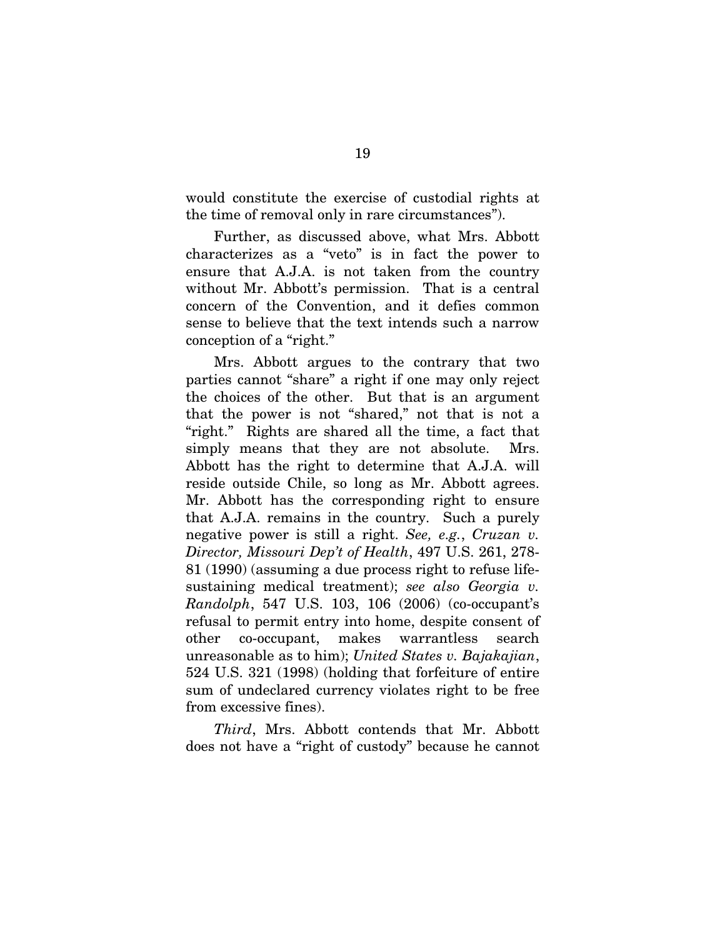would constitute the exercise of custodial rights at the time of removal only in rare circumstances").

Further, as discussed above, what Mrs. Abbott characterizes as a "veto" is in fact the power to ensure that A.J.A. is not taken from the country without Mr. Abbott's permission. That is a central concern of the Convention, and it defies common sense to believe that the text intends such a narrow conception of a "right."

Mrs. Abbott argues to the contrary that two parties cannot "share" a right if one may only reject the choices of the other. But that is an argument that the power is not "shared," not that is not a "right." Rights are shared all the time, a fact that simply means that they are not absolute. Mrs. Abbott has the right to determine that A.J.A. will reside outside Chile, so long as Mr. Abbott agrees. Mr. Abbott has the corresponding right to ensure that A.J.A. remains in the country. Such a purely negative power is still a right. *See, e.g.*, *Cruzan v. Director, Missouri Dep't of Health*, 497 U.S. 261, 278- 81 (1990) (assuming a due process right to refuse lifesustaining medical treatment); *see also Georgia v. Randolph*, 547 U.S. 103, 106 (2006) (co-occupant's refusal to permit entry into home, despite consent of other co-occupant, makes warrantless search unreasonable as to him); *United States v. Bajakajian*, 524 U.S. 321 (1998) (holding that forfeiture of entire sum of undeclared currency violates right to be free from excessive fines).

*Third*, Mrs. Abbott contends that Mr. Abbott does not have a "right of custody" because he cannot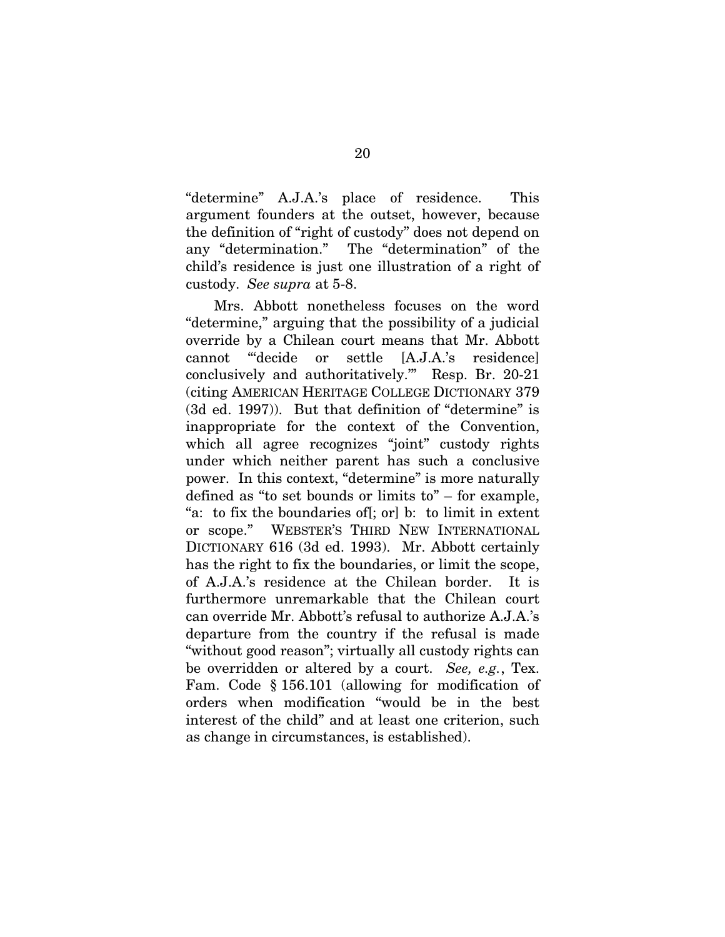"determine" A.J.A.'s place of residence. This argument founders at the outset, however, because the definition of "right of custody" does not depend on any "determination." The "determination" of the child's residence is just one illustration of a right of custody. *See supra* at 5-8.

Mrs. Abbott nonetheless focuses on the word "determine," arguing that the possibility of a judicial override by a Chilean court means that Mr. Abbott cannot "'decide or settle [A.J.A.'s residence] conclusively and authoritatively.'" Resp. Br. 20-21 (citing AMERICAN HERITAGE COLLEGE DICTIONARY 379 (3d ed. 1997)). But that definition of "determine" is inappropriate for the context of the Convention, which all agree recognizes "joint" custody rights under which neither parent has such a conclusive power. In this context, "determine" is more naturally defined as "to set bounds or limits to" – for example, "a: to fix the boundaries of[; or] b: to limit in extent or scope." WEBSTER'S THIRD NEW INTERNATIONAL DICTIONARY 616 (3d ed. 1993). Mr. Abbott certainly has the right to fix the boundaries, or limit the scope, of A.J.A.'s residence at the Chilean border. It is furthermore unremarkable that the Chilean court can override Mr. Abbott's refusal to authorize A.J.A.'s departure from the country if the refusal is made "without good reason"; virtually all custody rights can be overridden or altered by a court. *See, e.g.*, Tex. Fam. Code § 156.101 (allowing for modification of orders when modification "would be in the best interest of the child" and at least one criterion, such as change in circumstances, is established).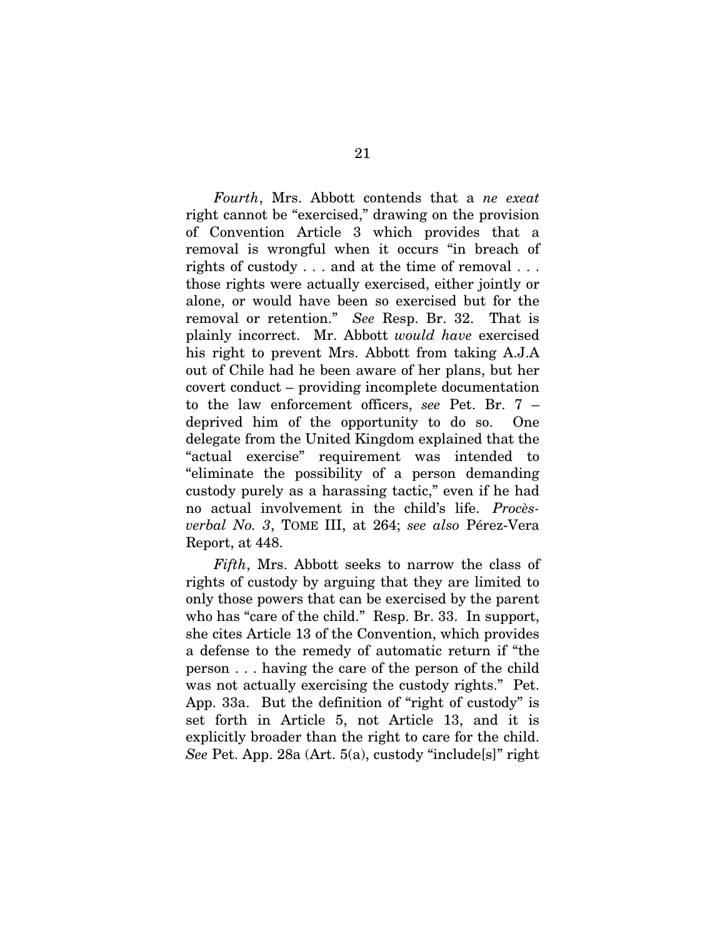*Fourth*, Mrs. Abbott contends that a *ne exeat* right cannot be "exercised," drawing on the provision of Convention Article 3 which provides that a removal is wrongful when it occurs "in breach of rights of custody . . . and at the time of removal . . . those rights were actually exercised, either jointly or alone, or would have been so exercised but for the removal or retention." *See* Resp. Br. 32. That is plainly incorrect. Mr. Abbott *would have* exercised his right to prevent Mrs. Abbott from taking A.J.A out of Chile had he been aware of her plans, but her covert conduct – providing incomplete documentation to the law enforcement officers, *see* Pet. Br. 7 – deprived him of the opportunity to do so. One delegate from the United Kingdom explained that the "actual exercise" requirement was intended to "eliminate the possibility of a person demanding custody purely as a harassing tactic," even if he had no actual involvement in the child's life. *Procèsverbal No. 3*, TOME III, at 264; *see also* Pérez-Vera Report, at 448.

*Fifth*, Mrs. Abbott seeks to narrow the class of rights of custody by arguing that they are limited to only those powers that can be exercised by the parent who has "care of the child." Resp. Br. 33. In support, she cites Article 13 of the Convention, which provides a defense to the remedy of automatic return if "the person . . . having the care of the person of the child was not actually exercising the custody rights." Pet. App. 33a. But the definition of "right of custody" is set forth in Article 5, not Article 13, and it is explicitly broader than the right to care for the child. *See* Pet. App. 28a (Art. 5(a), custody "include[s]" right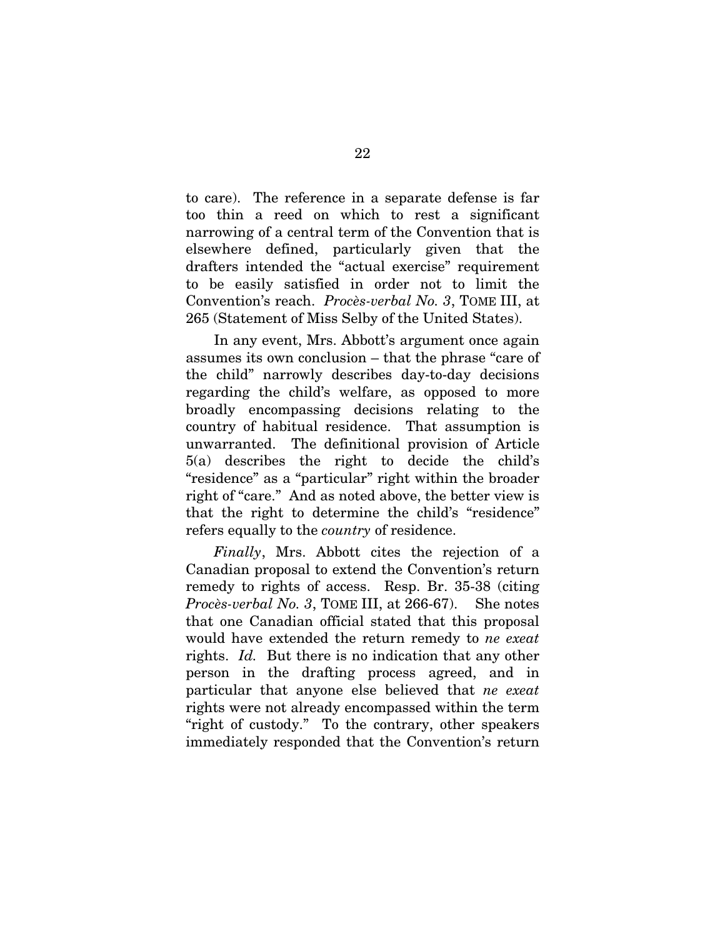to care). The reference in a separate defense is far too thin a reed on which to rest a significant narrowing of a central term of the Convention that is elsewhere defined, particularly given that the drafters intended the "actual exercise" requirement to be easily satisfied in order not to limit the Convention's reach. *Procès-verbal No. 3*, TOME III, at 265 (Statement of Miss Selby of the United States).

In any event, Mrs. Abbott's argument once again assumes its own conclusion – that the phrase "care of the child" narrowly describes day-to-day decisions regarding the child's welfare, as opposed to more broadly encompassing decisions relating to the country of habitual residence. That assumption is unwarranted. The definitional provision of Article 5(a) describes the right to decide the child's "residence" as a "particular" right within the broader right of "care." And as noted above, the better view is that the right to determine the child's "residence" refers equally to the *country* of residence.

*Finally*, Mrs. Abbott cites the rejection of a Canadian proposal to extend the Convention's return remedy to rights of access. Resp. Br. 35-38 (citing *Procès-verbal No. 3*, TOME III, at 266-67). She notes that one Canadian official stated that this proposal would have extended the return remedy to *ne exeat*  rights. *Id.* But there is no indication that any other person in the drafting process agreed, and in particular that anyone else believed that *ne exeat* rights were not already encompassed within the term "right of custody." To the contrary, other speakers immediately responded that the Convention's return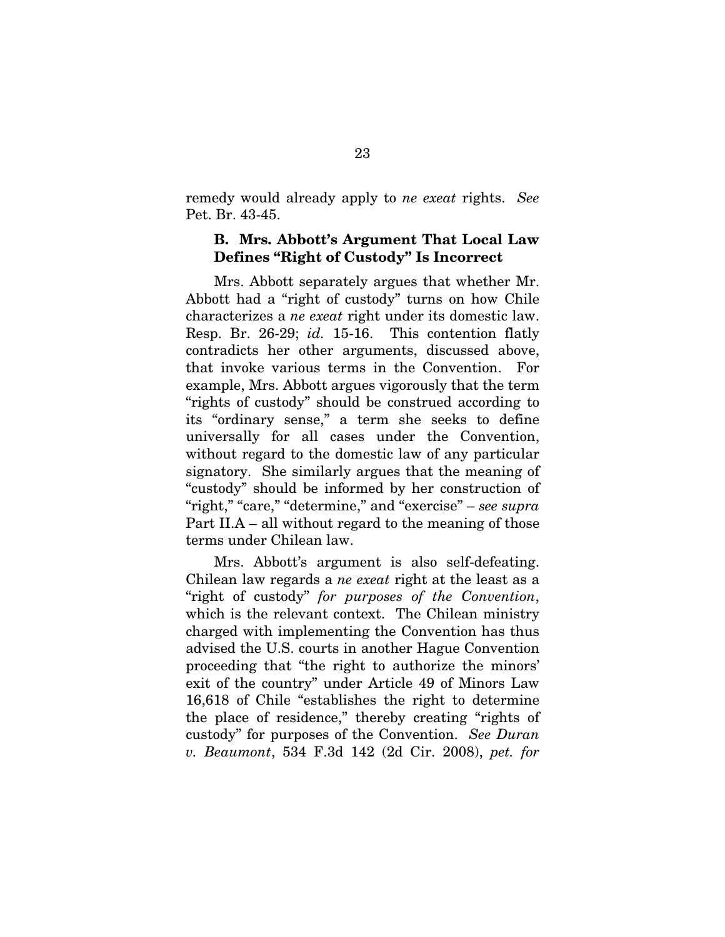<span id="page-29-0"></span>remedy would already apply to *ne exeat* rights. *See* Pet. Br. 43-45.

### B. Mrs. Abbott's Argument That Local Law Defines "Right of Custody" Is Incorrect

Mrs. Abbott separately argues that whether Mr. Abbott had a "right of custody" turns on how Chile characterizes a *ne exeat* right under its domestic law. Resp. Br. 26-29; *id.* 15-16. This contention flatly contradicts her other arguments, discussed above, that invoke various terms in the Convention. For example, Mrs. Abbott argues vigorously that the term "rights of custody" should be construed according to its "ordinary sense," a term she seeks to define universally for all cases under the Convention, without regard to the domestic law of any particular signatory. She similarly argues that the meaning of "custody" should be informed by her construction of "right," "care," "determine," and "exercise" – *see supra* Part II.A – all without regard to the meaning of those terms under Chilean law.

Mrs. Abbott's argument is also self-defeating. Chilean law regards a *ne exeat* right at the least as a "right of custody" *for purposes of the Convention*, which is the relevant context. The Chilean ministry charged with implementing the Convention has thus advised the U.S. courts in another Hague Convention proceeding that "the right to authorize the minors' exit of the country" under Article 49 of Minors Law 16,618 of Chile "establishes the right to determine the place of residence," thereby creating "rights of custody" for purposes of the Convention. *See Duran v. Beaumont*, 534 F.3d 142 (2d Cir. 2008), *pet. for*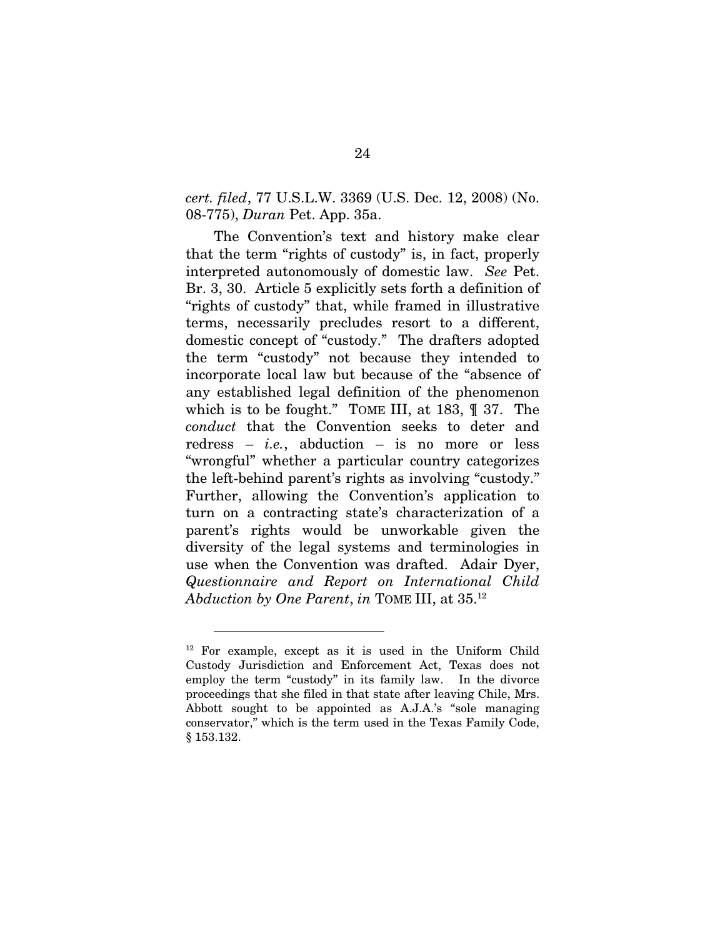### *cert. filed*, 77 U.S.L.W. 3369 (U.S. Dec. 12, 2008) (No. 08-775), *Duran* Pet. App. 35a.

The Convention's text and history make clear that the term "rights of custody" is, in fact, properly interpreted autonomously of domestic law. *See* Pet. Br. 3, 30. Article 5 explicitly sets forth a definition of "rights of custody" that, while framed in illustrative terms, necessarily precludes resort to a different, domestic concept of "custody." The drafters adopted the term "custody" not because they intended to incorporate local law but because of the "absence of any established legal definition of the phenomenon which is to be fought." TOME III, at 183, ¶ 37. The *conduct* that the Convention seeks to deter and redress – *i.e.*, abduction – is no more or less "wrongful" whether a particular country categorizes the left-behind parent's rights as involving "custody." Further, allowing the Convention's application to turn on a contracting state's characterization of a parent's rights would be unworkable given the diversity of the legal systems and terminologies in use when the Convention was drafted. Adair Dyer, *Questionnaire and Report on International Child Abduction by One Parent*, *in* TOME III, at 35.[12](#page-30-0) 

<span id="page-30-0"></span><sup>12</sup> For example, except as it is used in the Uniform Child Custody Jurisdiction and Enforcement Act, Texas does not employ the term "custody" in its family law. In the divorce proceedings that she filed in that state after leaving Chile, Mrs. Abbott sought to be appointed as A.J.A.'s "sole managing conservator," which is the term used in the Texas Family Code, § 153.132.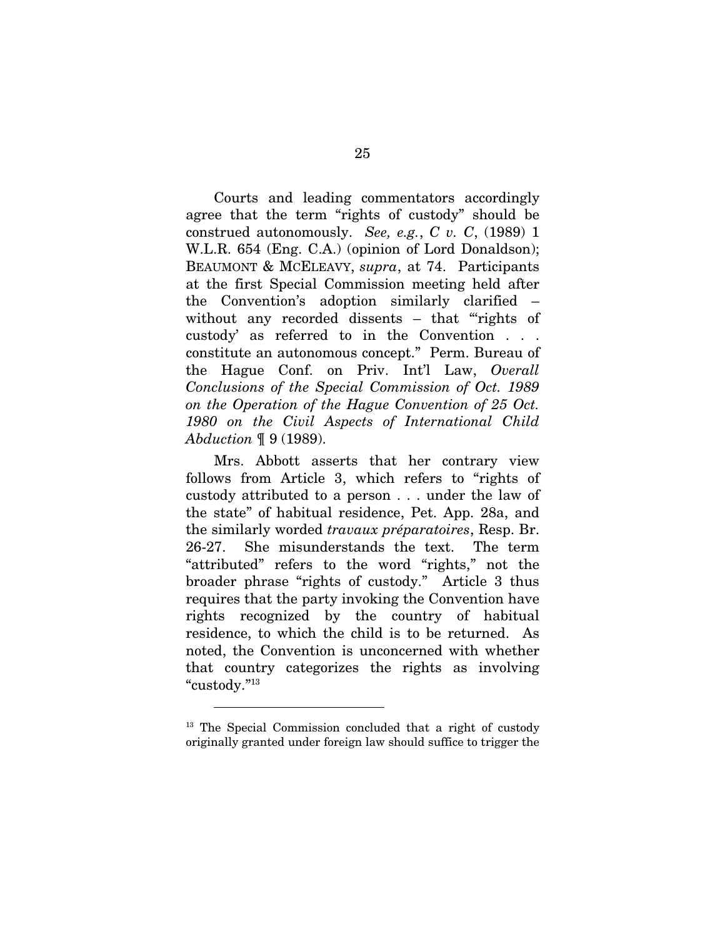Courts and leading commentators accordingly agree that the term "rights of custody" should be construed autonomously. *See, e.g.*, *C v. C*, (1989) 1 W.L.R. 654 (Eng. C.A.) (opinion of Lord Donaldson); BEAUMONT & MCELEAVY, *supra*, at 74. Participants at the first Special Commission meeting held after the Convention's adoption similarly clarified – without any recorded dissents – that "rights of custody' as referred to in the Convention . . . constitute an autonomous concept." Perm. Bureau of the Hague Conf. on Priv. Int'l Law, *Overall Conclusions of the Special Commission of Oct. 1989 on the Operation of the Hague Convention of 25 Oct. 1980 on the Civil Aspects of International Child Abduction* ¶ 9 (1989).

Mrs. Abbott asserts that her contrary view follows from Article 3, which refers to "rights of custody attributed to a person . . . under the law of the state" of habitual residence, Pet. App. 28a, and the similarly worded *travaux préparatoires*, Resp. Br. 26-27. She misunderstands the text. The term "attributed" refers to the word "rights," not the broader phrase "rights of custody." Article 3 thus requires that the party invoking the Convention have rights recognized by the country of habitual residence, to which the child is to be returned. As noted, the Convention is unconcerned with whether that country categorizes the rights as involving "custody."[13](#page-31-0)

<span id="page-31-0"></span><sup>&</sup>lt;sup>13</sup> The Special Commission concluded that a right of custody originally granted under foreign law should suffice to trigger the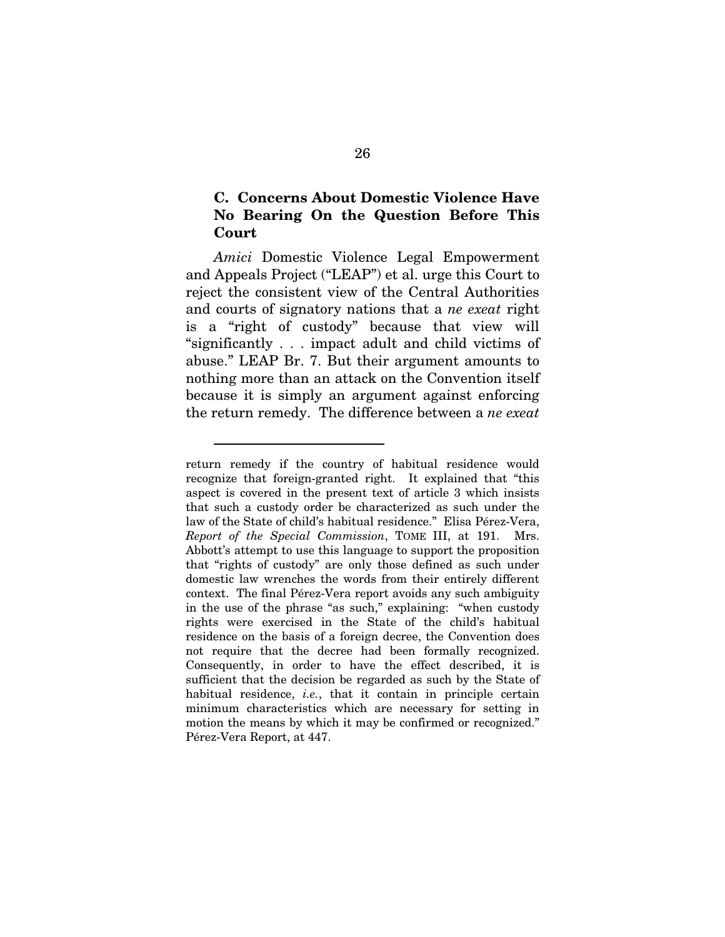### <span id="page-32-0"></span>C. Concerns About Domestic Violence Have No Bearing On the Question Before This Court

*Amici* Domestic Violence Legal Empowerment and Appeals Project ("LEAP") et al. urge this Court to reject the consistent view of the Central Authorities and courts of signatory nations that a *ne exeat* right is a "right of custody" because that view will "significantly . . . impact adult and child victims of abuse." LEAP Br. 7. But their argument amounts to nothing more than an attack on the Convention itself because it is simply an argument against enforcing the return remedy. The difference between a *ne exeat*

return remedy if the country of habitual residence would recognize that foreign-granted right. It explained that "this aspect is covered in the present text of article 3 which insists that such a custody order be characterized as such under the law of the State of child's habitual residence." Elisa Pérez-Vera, *Report of the Special Commission*, TOME III, at 191. Mrs. Abbott's attempt to use this language to support the proposition that "rights of custody" are only those defined as such under domestic law wrenches the words from their entirely different context. The final Pérez-Vera report avoids any such ambiguity in the use of the phrase "as such," explaining: "when custody rights were exercised in the State of the child's habitual residence on the basis of a foreign decree, the Convention does not require that the decree had been formally recognized. Consequently, in order to have the effect described, it is sufficient that the decision be regarded as such by the State of habitual residence, *i.e.*, that it contain in principle certain minimum characteristics which are necessary for setting in motion the means by which it may be confirmed or recognized." Pérez-Vera Report, at 447.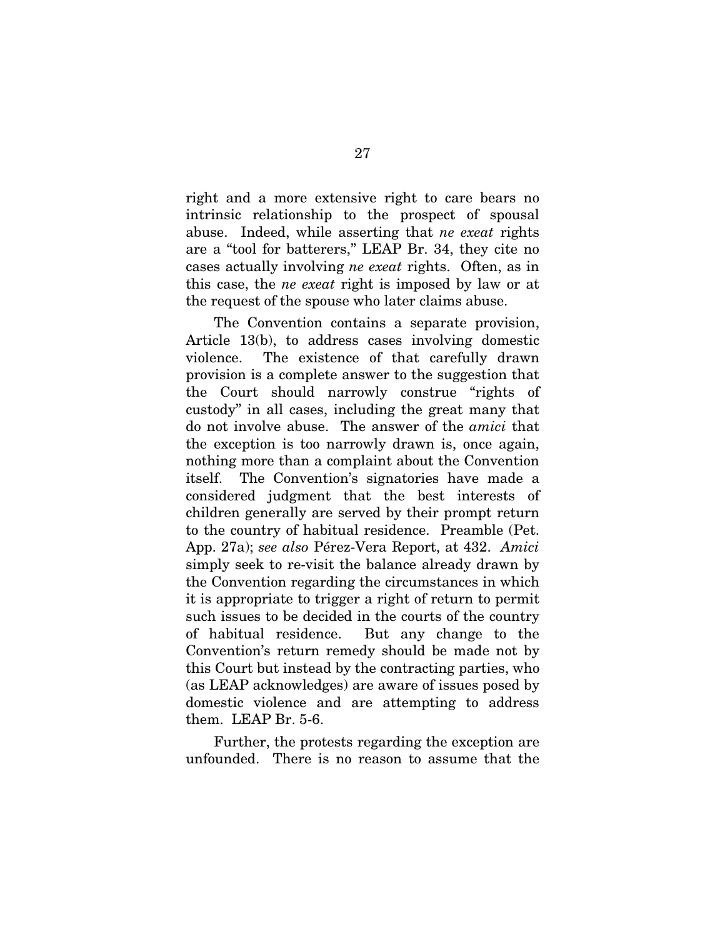right and a more extensive right to care bears no intrinsic relationship to the prospect of spousal abuse. Indeed, while asserting that *ne exeat* rights are a "tool for batterers," LEAP Br. 34, they cite no cases actually involving *ne exeat* rights. Often, as in this case, the *ne exeat* right is imposed by law or at the request of the spouse who later claims abuse.

The Convention contains a separate provision, Article 13(b), to address cases involving domestic violence. The existence of that carefully drawn provision is a complete answer to the suggestion that the Court should narrowly construe "rights of custody" in all cases, including the great many that do not involve abuse. The answer of the *amici* that the exception is too narrowly drawn is, once again, nothing more than a complaint about the Convention itself. The Convention's signatories have made a considered judgment that the best interests of children generally are served by their prompt return to the country of habitual residence. Preamble (Pet. App. 27a); *see also* Pérez-Vera Report, at 432. *Amici* simply seek to re-visit the balance already drawn by the Convention regarding the circumstances in which it is appropriate to trigger a right of return to permit such issues to be decided in the courts of the country of habitual residence. But any change to the Convention's return remedy should be made not by this Court but instead by the contracting parties, who (as LEAP acknowledges) are aware of issues posed by domestic violence and are attempting to address them. LEAP Br. 5-6.

Further, the protests regarding the exception are unfounded. There is no reason to assume that the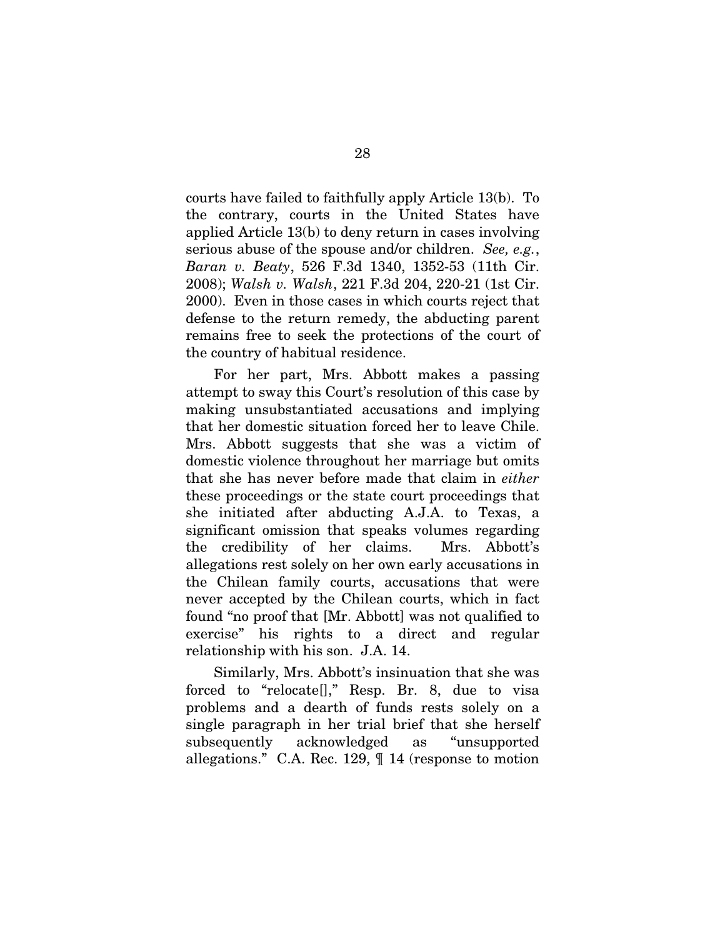courts have failed to faithfully apply Article 13(b). To the contrary, courts in the United States have applied Article 13(b) to deny return in cases involving serious abuse of the spouse and/or children. *See, e.g.*, *Baran v. Beaty*, 526 F.3d 1340, 1352-53 (11th Cir. 2008); *Walsh v. Walsh*, 221 F.3d 204, 220-21 (1st Cir. 2000). Even in those cases in which courts reject that defense to the return remedy, the abducting parent remains free to seek the protections of the court of the country of habitual residence.

For her part, Mrs. Abbott makes a passing attempt to sway this Court's resolution of this case by making unsubstantiated accusations and implying that her domestic situation forced her to leave Chile. Mrs. Abbott suggests that she was a victim of domestic violence throughout her marriage but omits that she has never before made that claim in *either* these proceedings or the state court proceedings that she initiated after abducting A.J.A. to Texas, a significant omission that speaks volumes regarding the credibility of her claims. Mrs. Abbott's allegations rest solely on her own early accusations in the Chilean family courts, accusations that were never accepted by the Chilean courts, which in fact found "no proof that [Mr. Abbott] was not qualified to exercise" his rights to a direct and regular relationship with his son. J.A. 14.

Similarly, Mrs. Abbott's insinuation that she was forced to "relocate[]," Resp. Br. 8, due to visa problems and a dearth of funds rests solely on a single paragraph in her trial brief that she herself subsequently acknowledged as "unsupported allegations." C.A. Rec. 129, ¶ 14 (response to motion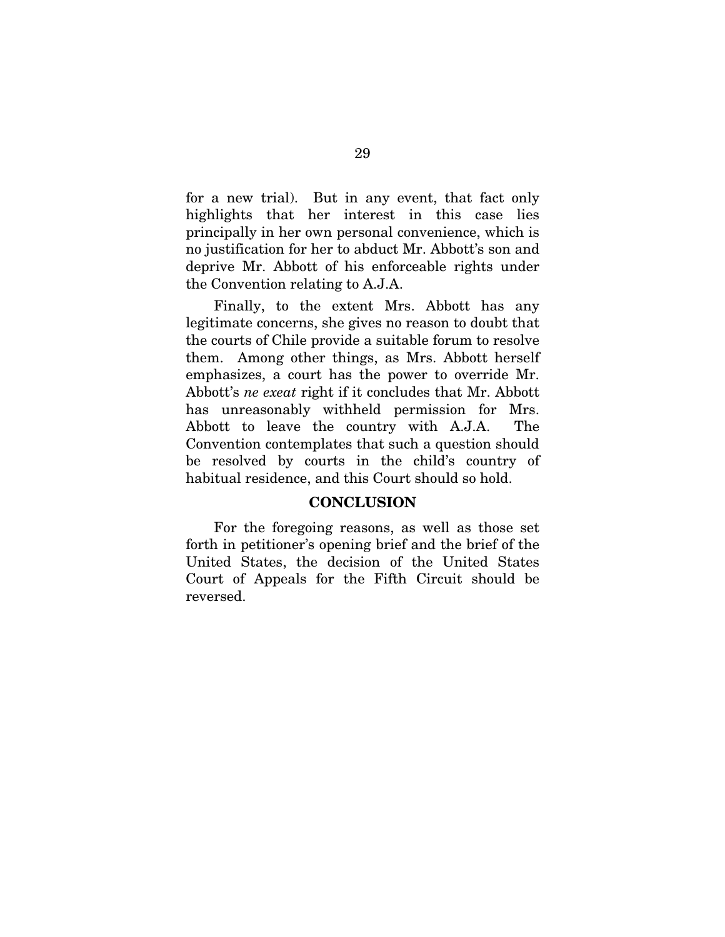<span id="page-35-0"></span>for a new trial). But in any event, that fact only highlights that her interest in this case lies principally in her own personal convenience, which is no justification for her to abduct Mr. Abbott's son and deprive Mr. Abbott of his enforceable rights under the Convention relating to A.J.A.

Finally, to the extent Mrs. Abbott has any legitimate concerns, she gives no reason to doubt that the courts of Chile provide a suitable forum to resolve them. Among other things, as Mrs. Abbott herself emphasizes, a court has the power to override Mr. Abbott's *ne exeat* right if it concludes that Mr. Abbott has unreasonably withheld permission for Mrs. Abbott to leave the country with A.J.A. The Convention contemplates that such a question should be resolved by courts in the child's country of habitual residence, and this Court should so hold.

#### **CONCLUSION**

For the foregoing reasons, as well as those set forth in petitioner's opening brief and the brief of the United States, the decision of the United States Court of Appeals for the Fifth Circuit should be reversed.